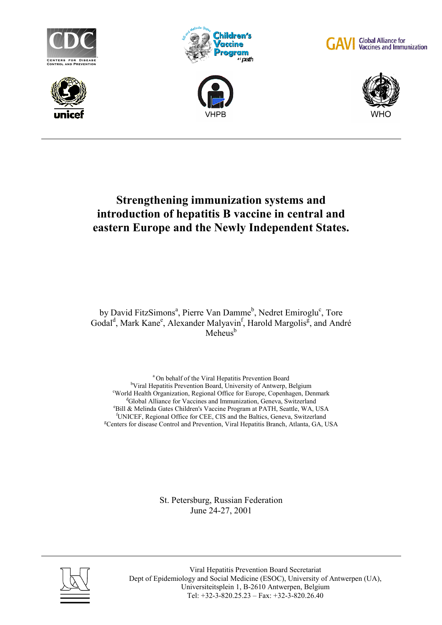

# **Strengthening immunization systems and introduction of hepatitis B vaccine in central and eastern Europe and the Newly Independent States.**

by David FitzSimons<sup>a</sup>, Pierre Van Damme<sup>b</sup>, Nedret Emiroglu<sup>c</sup>, Tore Godal<sup>d</sup>, Mark Kane<sup>e</sup>, Alexander Malyavin<sup>f</sup>, Harold Margolis<sup>g</sup>, and André  $Meheus<sup>b</sup>$ 

<sup>a</sup> On behalf of the Viral Hepatitis Prevention Board <sup>b</sup>Viral Hepatitis Prevention Board, University of Antwerp, Belgium <sup>c</sup>World Health Organization, Regional Office for Europe, Copenhagen, Denmark <sup>d</sup>Global Alliance for Vaccines and Immunization, Geneva, Switzerland Bill & Melinda Gates Children's Vaccine Program at PATH, Seattle, WA, USA f UNICEF, Regional Office for CEE, CIS and the Baltics, Geneva, Switzerland<br>
ECONOMIC for disease Control and Prevention, Viral Henetitic Branch, Atlanta, GA, I Centers for disease Control and Prevention, Viral Hepatitis Branch, Atlanta, GA, USA

> St. Petersburg, Russian Federation June 24-27, 2001



Viral Hepatitis Prevention Board Secretariat Dept of Epidemiology and Social Medicine (ESOC), University of Antwerpen (UA), Universiteitsplein 1, B-2610 Antwerpen, Belgium Tel: +32-3-820.25.23 – Fax: +32-3-820.26.40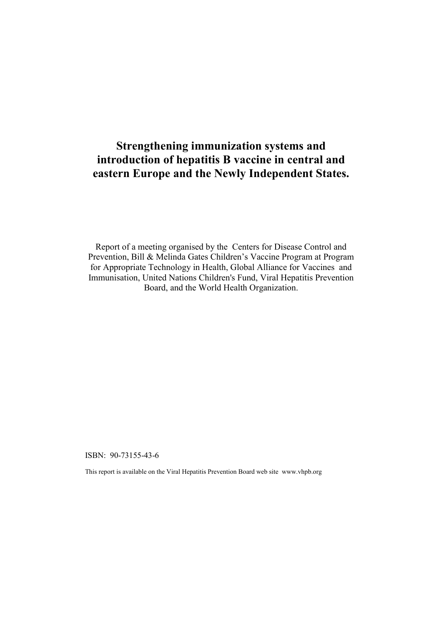# **Strengthening immunization systems and introduction of hepatitis B vaccine in central and eastern Europe and the Newly Independent States.**

Report of a meeting organised by the Centers for Disease Control and Prevention, Bill & Melinda Gates Children's Vaccine Program at Program for Appropriate Technology in Health, Global Alliance for Vaccines and Immunisation, United Nations Children's Fund, Viral Hepatitis Prevention Board, and the World Health Organization.

ISBN: 90-73155-43-6

This report is available on the Viral Hepatitis Prevention Board web site www.vhpb.org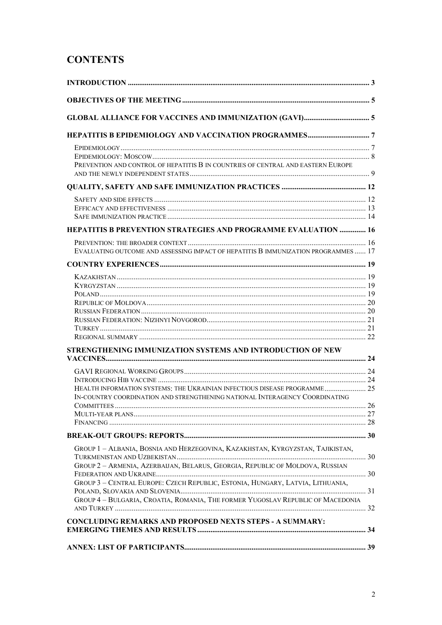# **CONTENTS**

| PREVENTION AND CONTROL OF HEPATITIS B IN COUNTRIES OF CENTRAL AND EASTERN EUROPE                                                                                                                                                                                                                                                     |  |
|--------------------------------------------------------------------------------------------------------------------------------------------------------------------------------------------------------------------------------------------------------------------------------------------------------------------------------------|--|
|                                                                                                                                                                                                                                                                                                                                      |  |
|                                                                                                                                                                                                                                                                                                                                      |  |
| <b>HEPATITIS B PREVENTION STRATEGIES AND PROGRAMME EVALUATION  16</b>                                                                                                                                                                                                                                                                |  |
| EVALUATING OUTCOME AND ASSESSING IMPACT OF HEPATITIS B IMMUNIZATION PROGRAMMES 17                                                                                                                                                                                                                                                    |  |
|                                                                                                                                                                                                                                                                                                                                      |  |
|                                                                                                                                                                                                                                                                                                                                      |  |
| STRENGTHENING IMMUNIZATION SYSTEMS AND INTRODUCTION OF NEW                                                                                                                                                                                                                                                                           |  |
| HEALTH INFORMATION SYSTEMS: THE UKRAINIAN INFECTIOUS DISEASE PROGRAMME 25<br>IN-COUNTRY COORDINATION AND STRENGTHENING NATIONAL INTERAGENCY COORDINATING                                                                                                                                                                             |  |
|                                                                                                                                                                                                                                                                                                                                      |  |
| GROUP 1 - ALBANIA, BOSNIA AND HERZEGOVINA, KAZAKHSTAN, KYRGYZSTAN, TAJIKISTAN,<br>GROUP 2 - ARMENIA, AZERBAIJAN, BELARUS, GEORGIA, REPUBLIC OF MOLDOVA, RUSSIAN<br>GROUP 3 - CENTRAL EUROPE: CZECH REPUBLIC, ESTONIA, HUNGARY, LATVIA, LITHUANIA,<br>GROUP 4 - BULGARIA, CROATIA, ROMANIA, THE FORMER YUGOSLAV REPUBLIC OF MACEDONIA |  |
| <b>CONCLUDING REMARKS AND PROPOSED NEXTS STEPS - A SUMMARY:</b>                                                                                                                                                                                                                                                                      |  |
|                                                                                                                                                                                                                                                                                                                                      |  |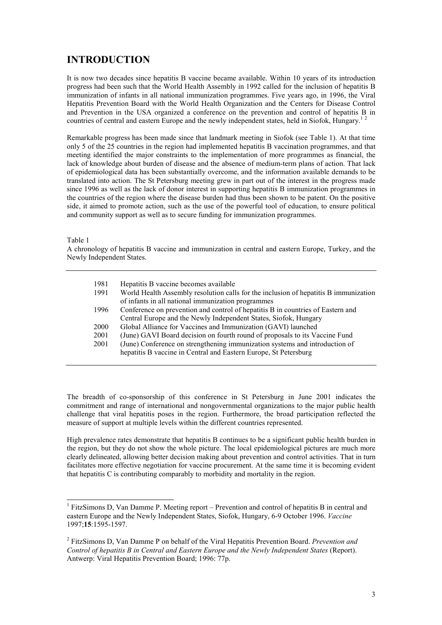# **INTRODUCTION**

It is now two decades since hepatitis B vaccine became available. Within 10 years of its introduction progress had been such that the World Health Assembly in 1992 called for the inclusion of hepatitis B immunization of infants in all national immunization programmes. Five years ago, in 1996, the Viral Hepatitis Prevention Board with the World Health Organization and the Centers for Disease Control and Prevention in the USA organized a conference on the prevention and control of hepatitis B in countries of central and eastern Europe and the newly independent states, held in Siofok, Hungary.<sup>12</sup>

Remarkable progress has been made since that landmark meeting in Siofok (see Table 1). At that time only 5 of the 25 countries in the region had implemented hepatitis B vaccination programmes, and that meeting identified the major constraints to the implementation of more programmes as financial, the lack of knowledge about burden of disease and the absence of medium-term plans of action. That lack of epidemiological data has been substantially overcome, and the information available demands to be translated into action. The St Petersburg meeting grew in part out of the interest in the progress made since 1996 as well as the lack of donor interest in supporting hepatitis B immunization programmes in the countries of the region where the disease burden had thus been shown to be patent. On the positive side, it aimed to promote action, such as the use of the powerful tool of education, to ensure political and community support as well as to secure funding for immunization programmes.

## Table 1

 $\overline{a}$ 

A chronology of hepatitis B vaccine and immunization in central and eastern Europe, Turkey, and the Newly Independent States.

| 1981 | Hepatitis B vaccine becomes available                                                |
|------|--------------------------------------------------------------------------------------|
| 1991 | World Health Assembly resolution calls for the inclusion of hepatitis B immunization |
|      | of infants in all national immunization programmes                                   |
| 1996 | Conference on prevention and control of hepatitis B in countries of Eastern and      |
|      | Central Europe and the Newly Independent States, Siofok, Hungary                     |
| 2000 | Global Alliance for Vaccines and Immunization (GAVI) launched                        |
| 2001 | (June) GAVI Board decision on fourth round of proposals to its Vaccine Fund          |
| 2001 | (June) Conference on strengthening immunization systems and introduction of          |
|      | hepatitis B vaccine in Central and Eastern Europe, St Petersburg                     |
|      |                                                                                      |

The breadth of co-sponsorship of this conference in St Petersburg in June 2001 indicates the commitment and range of international and nongovernmental organizations to the major public health challenge that viral hepatitis poses in the region. Furthermore, the broad participation reflected the measure of support at multiple levels within the different countries represented.

High prevalence rates demonstrate that hepatitis B continues to be a significant public health burden in the region, but they do not show the whole picture. The local epidemiological pictures are much more clearly delineated, allowing better decision making about prevention and control activities. That in turn facilitates more effective negotiation for vaccine procurement. At the same time it is becoming evident that hepatitis C is contributing comparably to morbidity and mortality in the region.

<sup>&</sup>lt;sup>1</sup> FitzSimons D, Van Damme P. Meeting report – Prevention and control of hepatitis B in central and eastern Europe and the Newly Independent States, Siofok, Hungary, 6-9 October 1996. *Vaccine* 1997;**15**:1595-1597.

<sup>2</sup> FitzSimons D, Van Damme P on behalf of the Viral Hepatitis Prevention Board. *Prevention and Control of hepatitis B in Central and Eastern Europe and the Newly Independent States* (Report). Antwerp: Viral Hepatitis Prevention Board; 1996: 77p.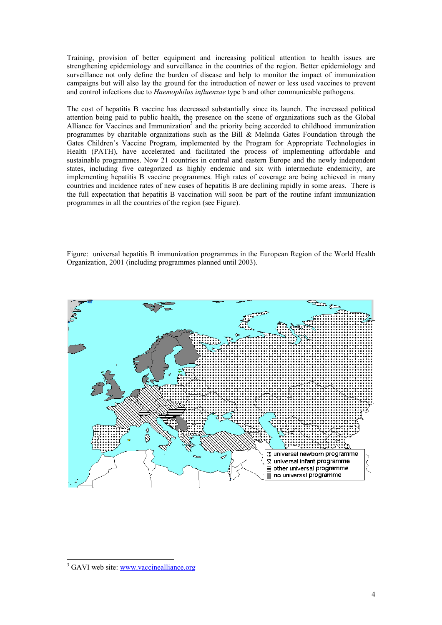Training, provision of better equipment and increasing political attention to health issues are strengthening epidemiology and surveillance in the countries of the region. Better epidemiology and surveillance not only define the burden of disease and help to monitor the impact of immunization campaigns but will also lay the ground for the introduction of newer or less used vaccines to prevent and control infections due to *Haemophilus influenzae* type b and other communicable pathogens.

The cost of hepatitis B vaccine has decreased substantially since its launch. The increased political attention being paid to public health, the presence on the scene of organizations such as the Global Alliance for Vaccines and Immunization<sup>3</sup> and the priority being accorded to childhood immunization programmes by charitable organizations such as the Bill & Melinda Gates Foundation through the Gates Children's Vaccine Program, implemented by the Program for Appropriate Technologies in Health (PATH), have accelerated and facilitated the process of implementing affordable and sustainable programmes. Now 21 countries in central and eastern Europe and the newly independent states, including five categorized as highly endemic and six with intermediate endemicity, are implementing hepatitis B vaccine programmes. High rates of coverage are being achieved in many countries and incidence rates of new cases of hepatitis B are declining rapidly in some areas. There is the full expectation that hepatitis B vaccination will soon be part of the routine infant immunization programmes in all the countries of the region (see Figure).

Figure: universal hepatitis B immunization programmes in the European Region of the World Health Organization, 2001 (including programmes planned until 2003).



 $\overline{\phantom{a}}$ 

<sup>&</sup>lt;sup>3</sup> GAVI web site: www.vaccinealliance.org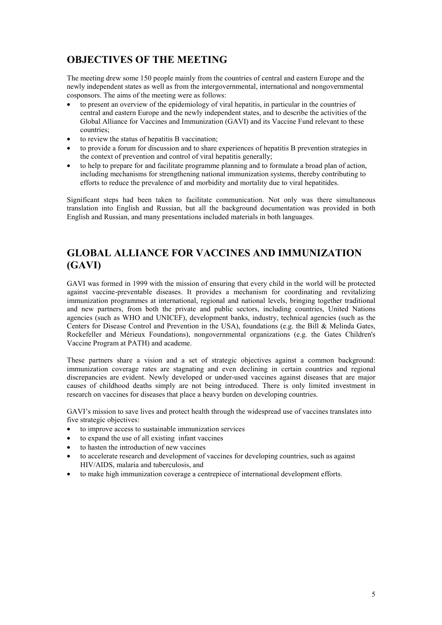# **OBJECTIVES OF THE MEETING**

The meeting drew some 150 people mainly from the countries of central and eastern Europe and the newly independent states as well as from the intergovernmental, international and nongovernmental cosponsors. The aims of the meeting were as follows:

- to present an overview of the epidemiology of viral hepatitis, in particular in the countries of central and eastern Europe and the newly independent states, and to describe the activities of the Global Alliance for Vaccines and Immunization (GAVI) and its Vaccine Fund relevant to these countries;
- to review the status of hepatitis B vaccination;
- to provide a forum for discussion and to share experiences of hepatitis B prevention strategies in the context of prevention and control of viral hepatitis generally;
- to help to prepare for and facilitate programme planning and to formulate a broad plan of action, including mechanisms for strengthening national immunization systems, thereby contributing to efforts to reduce the prevalence of and morbidity and mortality due to viral hepatitides.

Significant steps had been taken to facilitate communication. Not only was there simultaneous translation into English and Russian, but all the background documentation was provided in both English and Russian, and many presentations included materials in both languages.

# **GLOBAL ALLIANCE FOR VACCINES AND IMMUNIZATION (GAVI)**

GAVI was formed in 1999 with the mission of ensuring that every child in the world will be protected against vaccine-preventable diseases. It provides a mechanism for coordinating and revitalizing immunization programmes at international, regional and national levels, bringing together traditional and new partners, from both the private and public sectors, including countries, United Nations agencies (such as WHO and UNICEF), development banks, industry, technical agencies (such as the Centers for Disease Control and Prevention in the USA), foundations (e.g. the Bill & Melinda Gates, Rockefeller and Mérieux Foundations), nongovernmental organizations (e.g. the Gates Children's Vaccine Program at PATH) and academe.

These partners share a vision and a set of strategic objectives against a common background: immunization coverage rates are stagnating and even declining in certain countries and regional discrepancies are evident. Newly developed or under-used vaccines against diseases that are major causes of childhood deaths simply are not being introduced. There is only limited investment in research on vaccines for diseases that place a heavy burden on developing countries.

GAVI's mission to save lives and protect health through the widespread use of vaccines translates into five strategic objectives:

- to improve access to sustainable immunization services
- to expand the use of all existing infant vaccines
- to hasten the introduction of new vaccines
- to accelerate research and development of vaccines for developing countries, such as against HIV/AIDS, malaria and tuberculosis, and
- to make high immunization coverage a centrepiece of international development efforts.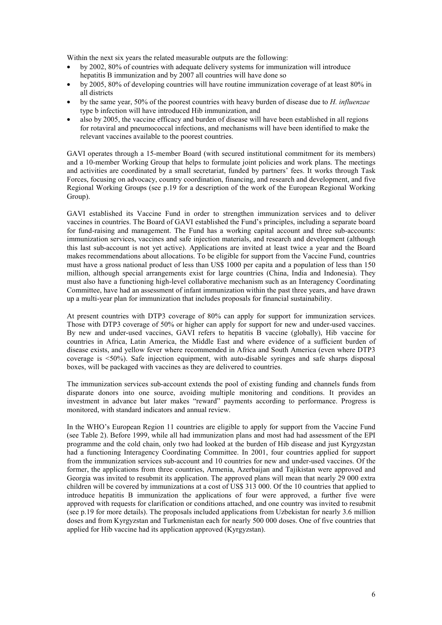Within the next six years the related measurable outputs are the following:

- by 2002, 80% of countries with adequate delivery systems for immunization will introduce hepatitis B immunization and by 2007 all countries will have done so
- by 2005, 80% of developing countries will have routine immunization coverage of at least 80% in all districts
- by the same year, 50% of the poorest countries with heavy burden of disease due to *H. influenzae* type b infection will have introduced Hib immunization, and
- also by 2005, the vaccine efficacy and burden of disease will have been established in all regions for rotaviral and pneumococcal infections, and mechanisms will have been identified to make the relevant vaccines available to the poorest countries.

GAVI operates through a 15-member Board (with secured institutional commitment for its members) and a 10-member Working Group that helps to formulate joint policies and work plans. The meetings and activities are coordinated by a small secretariat, funded by partners' fees. It works through Task Forces, focusing on advocacy, country coordination, financing, and research and development, and five Regional Working Groups (see p.19 for a description of the work of the European Regional Working Group).

GAVI established its Vaccine Fund in order to strengthen immunization services and to deliver vaccines in countries. The Board of GAVI established the Fund's principles, including a separate board for fund-raising and management. The Fund has a working capital account and three sub-accounts: immunization services, vaccines and safe injection materials, and research and development (although this last sub-account is not yet active). Applications are invited at least twice a year and the Board makes recommendations about allocations. To be eligible for support from the Vaccine Fund, countries must have a gross national product of less than US\$ 1000 per capita and a population of less than 150 million, although special arrangements exist for large countries (China, India and Indonesia). They must also have a functioning high-level collaborative mechanism such as an Interagency Coordinating Committee, have had an assessment of infant immunization within the past three years, and have drawn up a multi-year plan for immunization that includes proposals for financial sustainability.

At present countries with DTP3 coverage of 80% can apply for support for immunization services. Those with DTP3 coverage of 50% or higher can apply for support for new and under-used vaccines. By new and under-used vaccines, GAVI refers to hepatitis B vaccine (globally), Hib vaccine for countries in Africa, Latin America, the Middle East and where evidence of a sufficient burden of disease exists, and yellow fever where recommended in Africa and South America (even where DTP3 coverage is <50%). Safe injection equipment, with auto-disable syringes and safe sharps disposal boxes, will be packaged with vaccines as they are delivered to countries.

The immunization services sub-account extends the pool of existing funding and channels funds from disparate donors into one source, avoiding multiple monitoring and conditions. It provides an investment in advance but later makes "reward" payments according to performance. Progress is monitored, with standard indicators and annual review.

In the WHO's European Region 11 countries are eligible to apply for support from the Vaccine Fund (see Table 2). Before 1999, while all had immunization plans and most had had assessment of the EPI programme and the cold chain, only two had looked at the burden of Hib disease and just Kyrgyzstan had a functioning Interagency Coordinating Committee. In 2001, four countries applied for support from the immunization services sub-account and 10 countries for new and under-used vaccines. Of the former, the applications from three countries, Armenia, Azerbaijan and Tajikistan were approved and Georgia was invited to resubmit its application. The approved plans will mean that nearly 29 000 extra children will be covered by immunizations at a cost of US\$ 313 000. Of the 10 countries that applied to introduce hepatitis B immunization the applications of four were approved, a further five were approved with requests for clarification or conditions attached, and one country was invited to resubmit (see p.19 for more details). The proposals included applications from Uzbekistan for nearly 3.6 million doses and from Kyrgyzstan and Turkmenistan each for nearly 500 000 doses. One of five countries that applied for Hib vaccine had its application approved (Kyrgyzstan).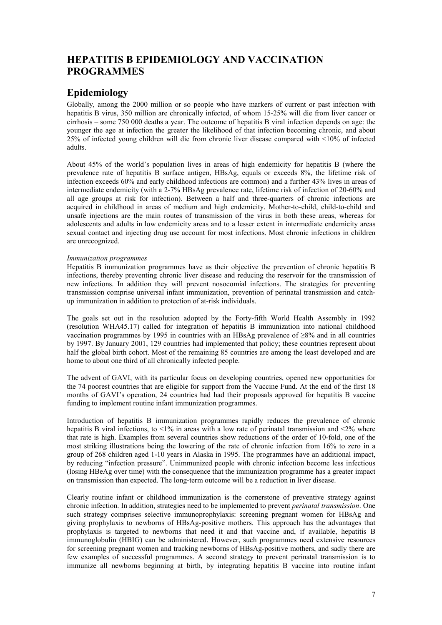# **HEPATITIS B EPIDEMIOLOGY AND VACCINATION PROGRAMMES**

# **Epidemiology**

Globally, among the 2000 million or so people who have markers of current or past infection with hepatitis B virus, 350 million are chronically infected, of whom 15-25% will die from liver cancer or cirrhosis – some 750 000 deaths a year. The outcome of hepatitis B viral infection depends on age: the younger the age at infection the greater the likelihood of that infection becoming chronic, and about 25% of infected young children will die from chronic liver disease compared with <10% of infected adults.

About 45% of the world's population lives in areas of high endemicity for hepatitis B (where the prevalence rate of hepatitis B surface antigen, HBsAg, equals or exceeds 8%, the lifetime risk of infection exceeds 60% and early childhood infections are common) and a further 43% lives in areas of intermediate endemicity (with a 2-7% HBsAg prevalence rate, lifetime risk of infection of 20-60% and all age groups at risk for infection). Between a half and three-quarters of chronic infections are acquired in childhood in areas of medium and high endemicity. Mother-to-child, child-to-child and unsafe injections are the main routes of transmission of the virus in both these areas, whereas for adolescents and adults in low endemicity areas and to a lesser extent in intermediate endemicity areas sexual contact and injecting drug use account for most infections. Most chronic infections in children are unrecognized.

## *Immunization programmes*

Hepatitis B immunization programmes have as their objective the prevention of chronic hepatitis B infections, thereby preventing chronic liver disease and reducing the reservoir for the transmission of new infections. In addition they will prevent nosocomial infections. The strategies for preventing transmission comprise universal infant immunization, prevention of perinatal transmission and catchup immunization in addition to protection of at-risk individuals.

The goals set out in the resolution adopted by the Forty-fifth World Health Assembly in 1992 (resolution WHA45.17) called for integration of hepatitis B immunization into national childhood vaccination programmes by 1995 in countries with an HBsAg prevalence of ≥8% and in all countries by 1997. By January 2001, 129 countries had implemented that policy; these countries represent about half the global birth cohort. Most of the remaining 85 countries are among the least developed and are home to about one third of all chronically infected people.

The advent of GAVI, with its particular focus on developing countries, opened new opportunities for the 74 poorest countries that are eligible for support from the Vaccine Fund. At the end of the first 18 months of GAVI's operation, 24 countries had had their proposals approved for hepatitis B vaccine funding to implement routine infant immunization programmes.

Introduction of hepatitis B immunization programmes rapidly reduces the prevalence of chronic hepatitis B viral infections, to  $\langle 1\%$  in areas with a low rate of perinatal transmission and  $\langle 2\%$  where that rate is high. Examples from several countries show reductions of the order of 10-fold, one of the most striking illustrations being the lowering of the rate of chronic infection from 16% to zero in a group of 268 children aged 1-10 years in Alaska in 1995. The programmes have an additional impact, by reducing "infection pressure". Unimmunized people with chronic infection become less infectious (losing HBeAg over time) with the consequence that the immunization programme has a greater impact on transmission than expected. The long-term outcome will be a reduction in liver disease.

Clearly routine infant or childhood immunization is the cornerstone of preventive strategy against chronic infection. In addition, strategies need to be implemented to prevent *perinatal transmission*. One such strategy comprises selective immunoprophylaxis: screening pregnant women for HBsAg and giving prophylaxis to newborns of HBsAg-positive mothers. This approach has the advantages that prophylaxis is targeted to newborns that need it and that vaccine and, if available, hepatitis B immunoglobulin (HBIG) can be administered. However, such programmes need extensive resources for screening pregnant women and tracking newborns of HBsAg-positive mothers, and sadly there are few examples of successful programmes. A second strategy to prevent perinatal transmission is to immunize all newborns beginning at birth, by integrating hepatitis B vaccine into routine infant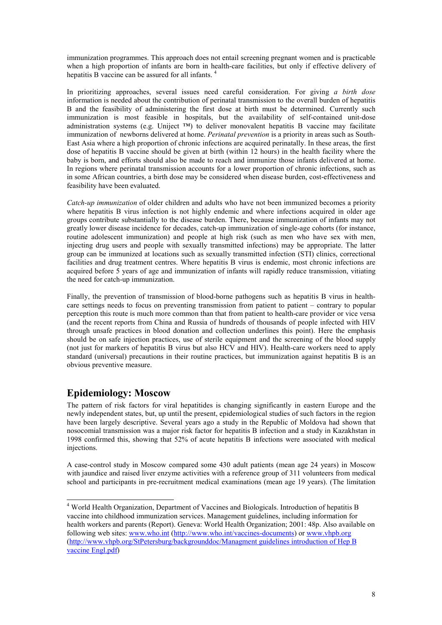immunization programmes. This approach does not entail screening pregnant women and is practicable when a high proportion of infants are born in health-care facilities, but only if effective delivery of hepatitis B vaccine can be assured for all infants.<sup>4</sup>

In prioritizing approaches, several issues need careful consideration. For giving *a birth dose* information is needed about the contribution of perinatal transmission to the overall burden of hepatitis B and the feasibility of administering the first dose at birth must be determined. Currently such immunization is most feasible in hospitals, but the availability of self-contained unit-dose administration systems (e.g. Uniject ™) to deliver monovalent hepatitis B vaccine may facilitate immunization of newborns delivered at home. *Perinatal prevention* is a priority in areas such as South-East Asia where a high proportion of chronic infections are acquired perinatally. In these areas, the first dose of hepatitis B vaccine should be given at birth (within 12 hours) in the health facility where the baby is born, and efforts should also be made to reach and immunize those infants delivered at home. In regions where perinatal transmission accounts for a lower proportion of chronic infections, such as in some African countries, a birth dose may be considered when disease burden, cost-effectiveness and feasibility have been evaluated.

*Catch-up immunization* of older children and adults who have not been immunized becomes a priority where hepatitis B virus infection is not highly endemic and where infections acquired in older age groups contribute substantially to the disease burden. There, because immunization of infants may not greatly lower disease incidence for decades, catch-up immunization of single-age cohorts (for instance, routine adolescent immunization) and people at high risk (such as men who have sex with men, injecting drug users and people with sexually transmitted infections) may be appropriate. The latter group can be immunized at locations such as sexually transmitted infection (STI) clinics, correctional facilities and drug treatment centres. Where hepatitis B virus is endemic, most chronic infections are acquired before 5 years of age and immunization of infants will rapidly reduce transmission, vitiating the need for catch-up immunization.

Finally, the prevention of transmission of blood-borne pathogens such as hepatitis B virus in healthcare settings needs to focus on preventing transmission from patient to patient – contrary to popular perception this route is much more common than that from patient to health-care provider or vice versa (and the recent reports from China and Russia of hundreds of thousands of people infected with HIV through unsafe practices in blood donation and collection underlines this point). Here the emphasis should be on safe injection practices, use of sterile equipment and the screening of the blood supply (not just for markers of hepatitis B virus but also HCV and HIV). Health-care workers need to apply standard (universal) precautions in their routine practices, but immunization against hepatitis B is an obvious preventive measure.

# **Epidemiology: Moscow**

The pattern of risk factors for viral hepatitides is changing significantly in eastern Europe and the newly independent states, but, up until the present, epidemiological studies of such factors in the region have been largely descriptive. Several years ago a study in the Republic of Moldova had shown that nosocomial transmission was a major risk factor for hepatitis B infection and a study in Kazakhstan in 1998 confirmed this, showing that 52% of acute hepatitis B infections were associated with medical injections.

A case-control study in Moscow compared some 430 adult patients (mean age 24 years) in Moscow with jaundice and raised liver enzyme activities with a reference group of 311 volunteers from medical school and participants in pre-recruitment medical examinations (mean age 19 years). (The limitation

 4 World Health Organization, Department of Vaccines and Biologicals. Introduction of hepatitis B vaccine into childhood immunization services. Management guidelines, including information for health workers and parents (Report). Geneva: World Health Organization; 2001: 48p. Also available on following web sites: www.who.int (http://www.who.int/vaccines-documents) or www.vhpb.org (http://www.vhpb.org/StPetersburg/backgrounddoc/Managment guidelines introduction of Hep B vaccine Engl.pdf)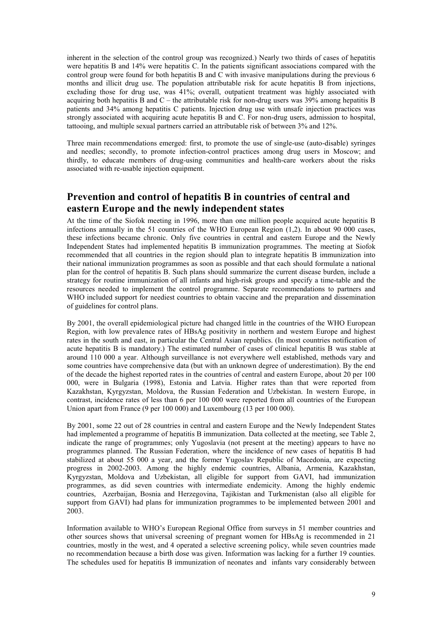inherent in the selection of the control group was recognized.) Nearly two thirds of cases of hepatitis were hepatitis B and 14% were hepatitis C. In the patients significant associations compared with the control group were found for both hepatitis B and C with invasive manipulations during the previous 6 months and illicit drug use. The population attributable risk for acute hepatitis B from injections, excluding those for drug use, was 41%; overall, outpatient treatment was highly associated with acquiring both hepatitis B and  $C$  – the attributable risk for non-drug users was 39% among hepatitis B patients and 34% among hepatitis C patients. Injection drug use with unsafe injection practices was strongly associated with acquiring acute hepatitis B and C. For non-drug users, admission to hospital, tattooing, and multiple sexual partners carried an attributable risk of between 3% and 12%.

Three main recommendations emerged: first, to promote the use of single-use (auto-disable) syringes and needles; secondly, to promote infection-control practices among drug users in Moscow; and thirdly, to educate members of drug-using communities and health-care workers about the risks associated with re-usable injection equipment.

# **Prevention and control of hepatitis B in countries of central and eastern Europe and the newly independent states**

At the time of the Siofok meeting in 1996, more than one million people acquired acute hepatitis B infections annually in the 51 countries of the WHO European Region (1,2). In about 90 000 cases, these infections became chronic. Only five countries in central and eastern Europe and the Newly Independent States had implemented hepatitis B immunization programmes. The meeting at Siofok recommended that all countries in the region should plan to integrate hepatitis B immunization into their national immunization programmes as soon as possible and that each should formulate a national plan for the control of hepatitis B. Such plans should summarize the current disease burden, include a strategy for routine immunization of all infants and high-risk groups and specify a time-table and the resources needed to implement the control programme. Separate recommendations to partners and WHO included support for neediest countries to obtain vaccine and the preparation and dissemination of guidelines for control plans.

By 2001, the overall epidemiological picture had changed little in the countries of the WHO European Region, with low prevalence rates of HBsAg positivity in northern and western Europe and highest rates in the south and east, in particular the Central Asian republics. (In most countries notification of acute hepatitis B is mandatory.) The estimated number of cases of clinical hepatitis B was stable at around 110 000 a year. Although surveillance is not everywhere well established, methods vary and some countries have comprehensive data (but with an unknown degree of underestimation). By the end of the decade the highest reported rates in the countries of central and eastern Europe, about 20 per 100 000, were in Bulgaria (1998), Estonia and Latvia. Higher rates than that were reported from Kazakhstan, Kyrgyzstan, Moldova, the Russian Federation and Uzbekistan. In western Europe, in contrast, incidence rates of less than 6 per 100 000 were reported from all countries of the European Union apart from France (9 per 100 000) and Luxembourg (13 per 100 000).

By 2001, some 22 out of 28 countries in central and eastern Europe and the Newly Independent States had implemented a programme of hepatitis B immunization. Data collected at the meeting, see Table 2, indicate the range of programmes; only Yugoslavia (not present at the meeting) appears to have no programmes planned. The Russian Federation, where the incidence of new cases of hepatitis B had stabilized at about 55 000 a year, and the former Yugoslav Republic of Macedonia, are expecting progress in 2002-2003. Among the highly endemic countries, Albania, Armenia, Kazakhstan, Kyrgyzstan, Moldova and Uzbekistan, all eligible for support from GAVI, had immunization programmes, as did seven countries with intermediate endemicity. Among the highly endemic countries, Azerbaijan, Bosnia and Herzegovina, Tajikistan and Turkmenistan (also all eligible for support from GAVI) had plans for immunization programmes to be implemented between 2001 and 2003.

Information available to WHO's European Regional Office from surveys in 51 member countries and other sources shows that universal screening of pregnant women for HBsAg is recommended in 21 countries, mostly in the west, and 4 operated a selective screening policy, while seven countries made no recommendation because a birth dose was given. Information was lacking for a further 19 counties. The schedules used for hepatitis B immunization of neonates and infants vary considerably between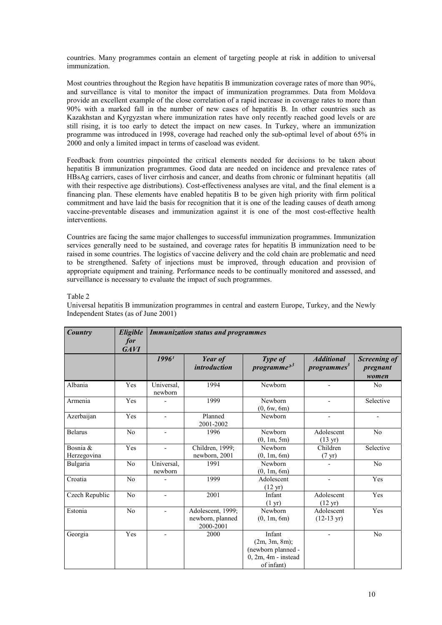countries. Many programmes contain an element of targeting people at risk in addition to universal immunization.

Most countries throughout the Region have hepatitis B immunization coverage rates of more than 90%, and surveillance is vital to monitor the impact of immunization programmes. Data from Moldova provide an excellent example of the close correlation of a rapid increase in coverage rates to more than 90% with a marked fall in the number of new cases of hepatitis B. In other countries such as Kazakhstan and Kyrgyzstan where immunization rates have only recently reached good levels or are still rising, it is too early to detect the impact on new cases. In Turkey, where an immunization programme was introduced in 1998, coverage had reached only the sub-optimal level of about 65% in 2000 and only a limited impact in terms of caseload was evident.

Feedback from countries pinpointed the critical elements needed for decisions to be taken about hepatitis B immunization programmes. Good data are needed on incidence and prevalence rates of HBsAg carriers, cases of liver cirrhosis and cancer, and deaths from chronic or fulminant hepatitis (all with their respective age distributions). Cost-effectiveness analyses are vital, and the final element is a financing plan. These elements have enabled hepatitis B to be given high priority with firm political commitment and have laid the basis for recognition that it is one of the leading causes of death among vaccine-preventable diseases and immunization against it is one of the most cost-effective health interventions.

Countries are facing the same major challenges to successful immunization programmes. Immunization services generally need to be sustained, and coverage rates for hepatitis B immunization need to be raised in some countries. The logistics of vaccine delivery and the cold chain are problematic and need to be strengthened. Safety of injections must be improved, through education and provision of appropriate equipment and training. Performance needs to be continually monitored and assessed, and surveillance is necessary to evaluate the impact of such programmes.

## Table 2

Universal hepatitis B immunization programmes in central and eastern Europe, Turkey, and the Newly Independent States (as of June 2001)

| Country                 | Eligible<br>for<br><b>GAVI</b> | <b>Immunization status and programmes</b> |                                                    |                                                                                      |                                              |                                          |
|-------------------------|--------------------------------|-------------------------------------------|----------------------------------------------------|--------------------------------------------------------------------------------------|----------------------------------------------|------------------------------------------|
|                         |                                | 1996'                                     | Year of<br><i>introduction</i>                     | Type of<br>programme <sup>23</sup>                                                   | <b>Additional</b><br>programmes <sup>3</sup> | <b>Screening of</b><br>pregnant<br>women |
| Albania                 | Yes                            | Universal,<br>newborn                     | 1994                                               | Newborn                                                                              |                                              | No                                       |
| Armenia                 | Yes                            |                                           | 1999                                               | Newborn<br>(0, 6w, 6m)                                                               |                                              | Selective                                |
| Azerbaijan              | Yes                            | $\overline{\phantom{a}}$                  | Planned<br>2001-2002                               | Newborn                                                                              | $\overline{\phantom{a}}$                     | $\overline{\phantom{0}}$                 |
| <b>Belarus</b>          | No                             | $\overline{\phantom{a}}$                  | 1996                                               | Newborn<br>(0, 1m, 5m)                                                               | Adolescent<br>$(13 \text{ yr})$              | No                                       |
| Bosnia &<br>Herzegovina | Yes                            | $\overline{\phantom{a}}$                  | Children, 1999;<br>newborn, 2001                   | Newborn<br>(0, 1m, 6m)                                                               | Children<br>$(7 \text{ yr})$                 | Selective                                |
| Bulgaria                | No                             | Universal,<br>newborn                     | 1991                                               | Newborn<br>(0, 1m, 6m)                                                               |                                              | No                                       |
| Croatia                 | N <sub>0</sub>                 |                                           | 1999                                               | Adolescent<br>$(12 \text{ yr})$                                                      |                                              | Yes                                      |
| Czech Republic          | No                             |                                           | 2001                                               | Infant<br>$(1 \text{ yr})$                                                           | Adolescent<br>$(12 \text{ yr})$              | Yes                                      |
| Estonia                 | N <sub>0</sub>                 | $\overline{a}$                            | Adolescent, 1999;<br>newborn, planned<br>2000-2001 | Newborn<br>(0, 1m, 6m)                                                               | Adolescent<br>$(12-13 \text{ yr})$           | Yes                                      |
| Georgia                 | Yes                            |                                           | 2000                                               | Infant<br>(2m, 3m, 8m);<br>(newborn planned -<br>$0, 2m, 4m$ - instead<br>of infant) |                                              | No                                       |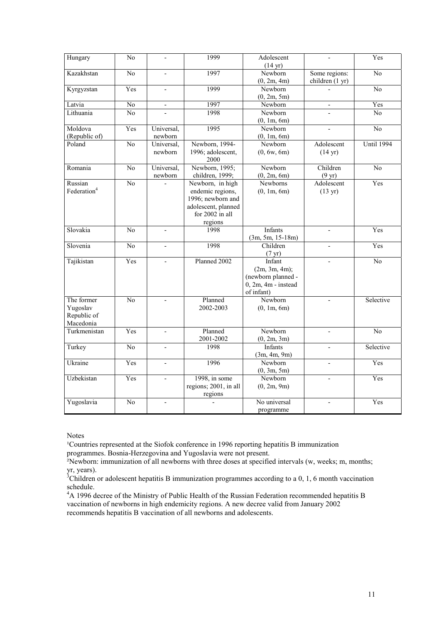| Hungary                 | $\overline{No}$ | $\overline{a}$               | 1999                  | Adolescent          | $\overline{a}$           | Yes               |
|-------------------------|-----------------|------------------------------|-----------------------|---------------------|--------------------------|-------------------|
|                         |                 |                              |                       | $(14 \text{ yr})$   |                          |                   |
| Kazakhstan              | No              | $\frac{1}{2}$                | 1997                  | Newborn             | Some regions:            | No                |
|                         |                 |                              |                       | (0, 2m, 4m)         | children (1 yr)          |                   |
| Kyrgyzstan              | Yes             | $\overline{a}$               | 1999                  | Newborn             |                          | N <sub>o</sub>    |
|                         |                 |                              |                       | (0, 2m, 5m)         |                          |                   |
| Latvia                  | No              | $\frac{1}{2}$                | 1997                  | Newborn             |                          | Yes               |
| Lithuania               | No              | $\overline{a}$               | 1998                  | Newborn             |                          | No                |
|                         |                 |                              |                       | (0, 1m, 6m)         |                          |                   |
| Moldova                 | Yes             | Universal,                   | 1995                  | Newborn             |                          | N <sub>o</sub>    |
| (Republic of)           |                 | newborn                      |                       | (0, 1m, 6m)         |                          |                   |
| Poland                  | No              | Universal.                   | Newborn, 1994-        | Newborn             | Adolescent               | <b>Until 1994</b> |
|                         |                 | newborn                      | 1996; adolescent,     | (0, 6w, 6m)         | $(14 \text{ yr})$        |                   |
|                         |                 |                              | 2000                  |                     |                          |                   |
| Romania                 | N <sub>o</sub>  | Universal,                   | Newborn, 1995;        | Newborn             | Children                 | N <sub>o</sub>    |
|                         |                 | newborn                      | children, 1999;       | (0, 2m, 6m)         | $(9 \text{ yr})$         |                   |
| Russian                 | No              |                              | Newborn, in high      | Newborns            | Adolescent               | Yes               |
| Federation <sup>4</sup> |                 |                              | endemic regions,      | (0, 1m, 6m)         | $(13 \text{ yr})$        |                   |
|                         |                 |                              | 1996; newborn and     |                     |                          |                   |
|                         |                 |                              | adolescent, planned   |                     |                          |                   |
|                         |                 |                              | for $2002$ in all     |                     |                          |                   |
|                         |                 |                              | regions               |                     |                          |                   |
| Slovakia                | N <sub>o</sub>  | ÷,                           | 1998                  | Infants             | ÷,                       | Yes               |
|                         |                 |                              |                       | $(3m, 5m, 15-18m)$  |                          |                   |
| Slovenia                | $\overline{No}$ | $\overline{\phantom{a}}$     | 1998                  | Children            | $\overline{a}$           | Yes               |
|                         |                 |                              |                       | $(7 \text{ yr})$    |                          |                   |
| Tajikistan              | Yes             | $\blacksquare$               | Planned 2002          | Infant              |                          | N <sub>o</sub>    |
|                         |                 |                              |                       | (2m, 3m, 4m);       |                          |                   |
|                         |                 |                              |                       | (newborn planned -  |                          |                   |
|                         |                 |                              |                       | 0, 2m, 4m - instead |                          |                   |
|                         |                 |                              |                       | of infant)          |                          |                   |
| The former              | No              | $\overline{a}$               | Planned               | Newborn             | $\blacksquare$           | Selective         |
| Yugoslav                |                 |                              | 2002-2003             | (0, 1m, 6m)         |                          |                   |
| Republic of             |                 |                              |                       |                     |                          |                   |
| Macedonia               |                 |                              |                       |                     |                          |                   |
| Turkmenistan            | Yes             | ÷,                           | Planned               | Newborn             | $\blacksquare$           | $\overline{No}$   |
|                         |                 |                              | 2001-2002             | (0, 2m, 3m)         |                          |                   |
| Turkey                  | No              | $\qquad \qquad \blacksquare$ | 1998                  | Infants             | $\blacksquare$           | Selective         |
|                         |                 |                              |                       | (3m, 4m, 9m)        |                          |                   |
| Ukraine                 | Yes             | $\overline{\phantom{a}}$     | 1996                  | Newborn             | $\overline{\phantom{a}}$ | Yes               |
|                         |                 |                              |                       | (0, 3m, 5m)         |                          |                   |
| Uzbekistan              | Yes             | $\overline{\phantom{a}}$     | 1998, in some         | Newborn             | $\blacksquare$           | Yes               |
|                         |                 |                              | regions; 2001, in all | (0, 2m, 9m)         |                          |                   |
|                         |                 |                              | regions               |                     |                          |                   |
| Yugoslavia              | No              | $\qquad \qquad \blacksquare$ |                       | No universal        | $\blacksquare$           | Yes               |
|                         |                 |                              |                       | programme           |                          |                   |
|                         |                 |                              |                       |                     |                          |                   |

Notes

<sup>1</sup>Countries represented at the Siofok conference in 1996 reporting hepatitis B immunization

programmes. Bosnia-Herzegovina and Yugoslavia were not present.

<sup>2</sup>Newborn: immunization of all newborns with three doses at specified intervals (w, weeks; m, months;

yr, years). 3 Children or adolescent hepatitis B immunization programmes according to a 0, 1, 6 month vaccination

schedule.<br><sup>4</sup>A 1996 decree of the Ministry of Public Health of the Russian Federation recommended hepatitis B vaccination of newborns in high endemicity regions. A new decree valid from January 2002 recommends hepatitis B vaccination of all newborns and adolescents.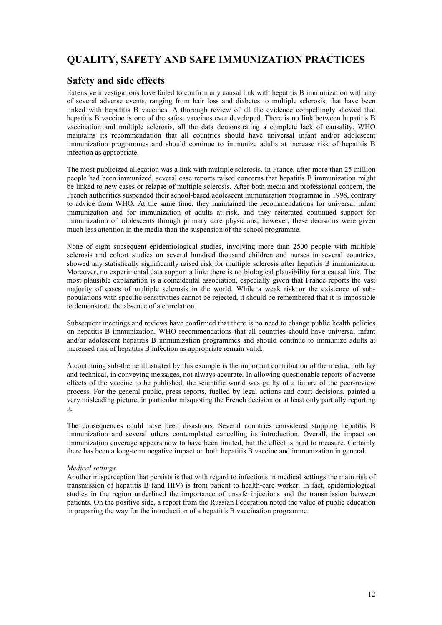# **QUALITY, SAFETY AND SAFE IMMUNIZATION PRACTICES**

# **Safety and side effects**

Extensive investigations have failed to confirm any causal link with hepatitis B immunization with any of several adverse events, ranging from hair loss and diabetes to multiple sclerosis, that have been linked with hepatitis B vaccines. A thorough review of all the evidence compellingly showed that hepatitis B vaccine is one of the safest vaccines ever developed. There is no link between hepatitis B vaccination and multiple sclerosis, all the data demonstrating a complete lack of causality. WHO maintains its recommendation that all countries should have universal infant and/or adolescent immunization programmes and should continue to immunize adults at increase risk of hepatitis B infection as appropriate.

The most publicized allegation was a link with multiple sclerosis. In France, after more than 25 million people had been immunized, several case reports raised concerns that hepatitis B immunization might be linked to new cases or relapse of multiple sclerosis. After both media and professional concern, the French authorities suspended their school-based adolescent immunization programme in 1998, contrary to advice from WHO. At the same time, they maintained the recommendations for universal infant immunization and for immunization of adults at risk, and they reiterated continued support for immunization of adolescents through primary care physicians; however, these decisions were given much less attention in the media than the suspension of the school programme.

None of eight subsequent epidemiological studies, involving more than 2500 people with multiple sclerosis and cohort studies on several hundred thousand children and nurses in several countries, showed any statistically significantly raised risk for multiple sclerosis after hepatitis B immunization. Moreover, no experimental data support a link: there is no biological plausibility for a causal link. The most plausible explanation is a coincidental association, especially given that France reports the vast majority of cases of multiple sclerosis in the world. While a weak risk or the existence of subpopulations with specific sensitivities cannot be rejected, it should be remembered that it is impossible to demonstrate the absence of a correlation.

Subsequent meetings and reviews have confirmed that there is no need to change public health policies on hepatitis B immunization. WHO recommendations that all countries should have universal infant and/or adolescent hepatitis B immunization programmes and should continue to immunize adults at increased risk of hepatitis B infection as appropriate remain valid.

A continuing sub-theme illustrated by this example is the important contribution of the media, both lay and technical, in conveying messages, not always accurate. In allowing questionable reports of adverse effects of the vaccine to be published, the scientific world was guilty of a failure of the peer-review process. For the general public, press reports, fuelled by legal actions and court decisions, painted a very misleading picture, in particular misquoting the French decision or at least only partially reporting it.

The consequences could have been disastrous. Several countries considered stopping hepatitis B immunization and several others contemplated cancelling its introduction. Overall, the impact on immunization coverage appears now to have been limited, but the effect is hard to measure. Certainly there has been a long-term negative impact on both hepatitis B vaccine and immunization in general.

## *Medical settings*

Another misperception that persists is that with regard to infections in medical settings the main risk of transmission of hepatitis B (and HIV) is from patient to health-care worker. In fact, epidemiological studies in the region underlined the importance of unsafe injections and the transmission between patients. On the positive side, a report from the Russian Federation noted the value of public education in preparing the way for the introduction of a hepatitis B vaccination programme.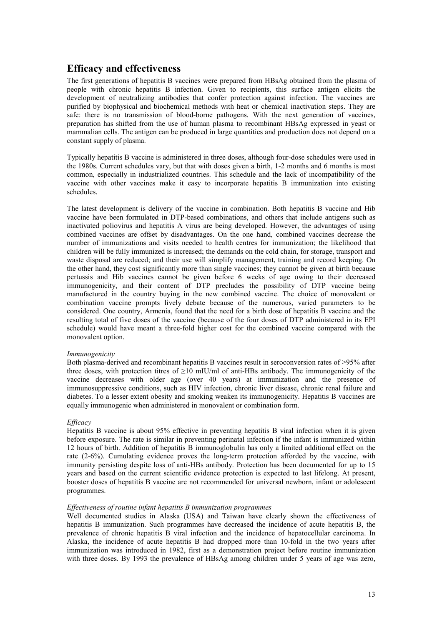# **Efficacy and effectiveness**

The first generations of hepatitis B vaccines were prepared from HBsAg obtained from the plasma of people with chronic hepatitis B infection. Given to recipients, this surface antigen elicits the development of neutralizing antibodies that confer protection against infection. The vaccines are purified by biophysical and biochemical methods with heat or chemical inactivation steps. They are safe: there is no transmission of blood-borne pathogens. With the next generation of vaccines, preparation has shifted from the use of human plasma to recombinant HBsAg expressed in yeast or mammalian cells. The antigen can be produced in large quantities and production does not depend on a constant supply of plasma.

Typically hepatitis B vaccine is administered in three doses, although four-dose schedules were used in the 1980s. Current schedules vary, but that with doses given a birth, 1-2 months and 6 months is most common, especially in industrialized countries. This schedule and the lack of incompatibility of the vaccine with other vaccines make it easy to incorporate hepatitis B immunization into existing schedules.

The latest development is delivery of the vaccine in combination. Both hepatitis B vaccine and Hib vaccine have been formulated in DTP-based combinations, and others that include antigens such as inactivated poliovirus and hepatitis A virus are being developed. However, the advantages of using combined vaccines are offset by disadvantages. On the one hand, combined vaccines decrease the number of immunizations and visits needed to health centres for immunization; the likelihood that children will be fully immunized is increased; the demands on the cold chain, for storage, transport and waste disposal are reduced; and their use will simplify management, training and record keeping. On the other hand, they cost significantly more than single vaccines; they cannot be given at birth because pertussis and Hib vaccines cannot be given before 6 weeks of age owing to their decreased immunogenicity, and their content of DTP precludes the possibility of DTP vaccine being manufactured in the country buying in the new combined vaccine. The choice of monovalent or combination vaccine prompts lively debate because of the numerous, varied parameters to be considered. One country, Armenia, found that the need for a birth dose of hepatitis B vaccine and the resulting total of five doses of the vaccine (because of the four doses of DTP administered in its EPI schedule) would have meant a three-fold higher cost for the combined vaccine compared with the monovalent option.

### *Immunogenicity*

Both plasma-derived and recombinant hepatitis B vaccines result in seroconversion rates of >95% after three doses, with protection titres of  $\geq$ 10 mIU/ml of anti-HBs antibody. The immunogenicity of the vaccine decreases with older age (over 40 years) at immunization and the presence of immunosuppressive conditions, such as HIV infection, chronic liver disease, chronic renal failure and diabetes. To a lesser extent obesity and smoking weaken its immunogenicity. Hepatitis B vaccines are equally immunogenic when administered in monovalent or combination form.

## *Efficacy*

Hepatitis B vaccine is about 95% effective in preventing hepatitis B viral infection when it is given before exposure. The rate is similar in preventing perinatal infection if the infant is immunized within 12 hours of birth. Addition of hepatitis B immunoglobulin has only a limited additional effect on the rate (2-6%). Cumulating evidence proves the long-term protection afforded by the vaccine, with immunity persisting despite loss of anti-HBs antibody. Protection has been documented for up to 15 years and based on the current scientific evidence protection is expected to last lifelong. At present, booster doses of hepatitis B vaccine are not recommended for universal newborn, infant or adolescent programmes.

### *Effectiveness of routine infant hepatitis B immunization programmes*

Well documented studies in Alaska (USA) and Taiwan have clearly shown the effectiveness of hepatitis B immunization. Such programmes have decreased the incidence of acute hepatitis B, the prevalence of chronic hepatitis B viral infection and the incidence of hepatocellular carcinoma. In Alaska, the incidence of acute hepatitis B had dropped more than 10-fold in the two years after immunization was introduced in 1982, first as a demonstration project before routine immunization with three doses. By 1993 the prevalence of HBsAg among children under 5 years of age was zero,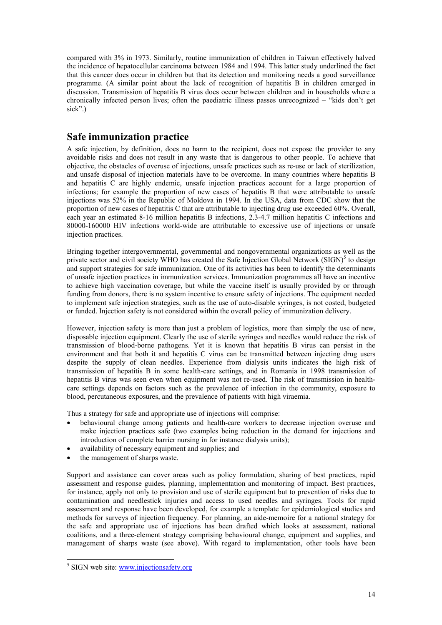compared with 3% in 1973. Similarly, routine immunization of children in Taiwan effectively halved the incidence of hepatocellular carcinoma between 1984 and 1994. This latter study underlined the fact that this cancer does occur in children but that its detection and monitoring needs a good surveillance programme. (A similar point about the lack of recognition of hepatitis B in children emerged in discussion. Transmission of hepatitis B virus does occur between children and in households where a chronically infected person lives; often the paediatric illness passes unrecognized – "kids don't get sick".)

# **Safe immunization practice**

A safe injection, by definition, does no harm to the recipient, does not expose the provider to any avoidable risks and does not result in any waste that is dangerous to other people. To achieve that objective, the obstacles of overuse of injections, unsafe practices such as re-use or lack of sterilization, and unsafe disposal of injection materials have to be overcome. In many countries where hepatitis B and hepatitis C are highly endemic, unsafe injection practices account for a large proportion of infections; for example the proportion of new cases of hepatitis B that were attributable to unsafe injections was 52% in the Republic of Moldova in 1994. In the USA, data from CDC show that the proportion of new cases of hepatitis C that are attributable to injecting drug use exceeded 60%. Overall, each year an estimated 8-16 million hepatitis B infections, 2.3-4.7 million hepatitis C infections and 80000-160000 HIV infections world-wide are attributable to excessive use of injections or unsafe injection practices.

Bringing together intergovernmental, governmental and nongovernmental organizations as well as the private sector and civil society WHO has created the Safe Injection Global Network (SIGN)<sup>5</sup> to design and support strategies for safe immunization. One of its activities has been to identify the determinants of unsafe injection practices in immunization services. Immunization programmes all have an incentive to achieve high vaccination coverage, but while the vaccine itself is usually provided by or through funding from donors, there is no system incentive to ensure safety of injections. The equipment needed to implement safe injection strategies, such as the use of auto-disable syringes, is not costed, budgeted or funded. Injection safety is not considered within the overall policy of immunization delivery.

However, injection safety is more than just a problem of logistics, more than simply the use of new, disposable injection equipment. Clearly the use of sterile syringes and needles would reduce the risk of transmission of blood-borne pathogens. Yet it is known that hepatitis B virus can persist in the environment and that both it and hepatitis C virus can be transmitted between injecting drug users despite the supply of clean needles. Experience from dialysis units indicates the high risk of transmission of hepatitis B in some health-care settings, and in Romania in 1998 transmission of hepatitis B virus was seen even when equipment was not re-used. The risk of transmission in healthcare settings depends on factors such as the prevalence of infection in the community, exposure to blood, percutaneous exposures, and the prevalence of patients with high viraemia.

Thus a strategy for safe and appropriate use of injections will comprise:

- behavioural change among patients and health-care workers to decrease injection overuse and make injection practices safe (two examples being reduction in the demand for injections and introduction of complete barrier nursing in for instance dialysis units);
- availability of necessary equipment and supplies; and
- the management of sharps waste.

Support and assistance can cover areas such as policy formulation, sharing of best practices, rapid assessment and response guides, planning, implementation and monitoring of impact. Best practices, for instance, apply not only to provision and use of sterile equipment but to prevention of risks due to contamination and needlestick injuries and access to used needles and syringes. Tools for rapid assessment and response have been developed, for example a template for epidemiological studies and methods for surveys of injection frequency. For planning, an aide-memoire for a national strategy for the safe and appropriate use of injections has been drafted which looks at assessment, national coalitions, and a three-element strategy comprising behavioural change, equipment and supplies, and management of sharps waste (see above). With regard to implementation, other tools have been

<sup>&</sup>lt;sup>5</sup> SIGN web site: www.injectionsafety.org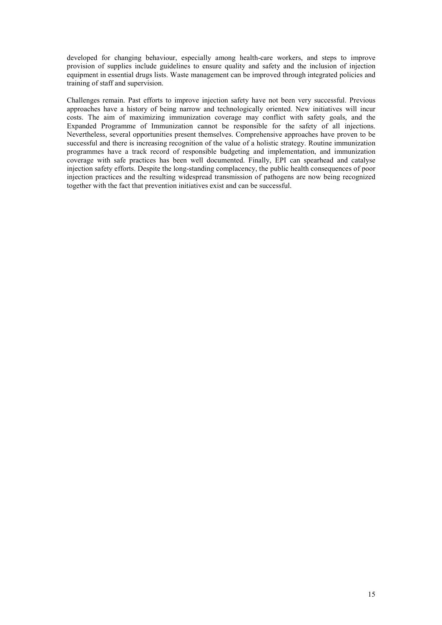developed for changing behaviour, especially among health-care workers, and steps to improve provision of supplies include guidelines to ensure quality and safety and the inclusion of injection equipment in essential drugs lists. Waste management can be improved through integrated policies and training of staff and supervision.

Challenges remain. Past efforts to improve injection safety have not been very successful. Previous approaches have a history of being narrow and technologically oriented. New initiatives will incur costs. The aim of maximizing immunization coverage may conflict with safety goals, and the Expanded Programme of Immunization cannot be responsible for the safety of all injections. Nevertheless, several opportunities present themselves. Comprehensive approaches have proven to be successful and there is increasing recognition of the value of a holistic strategy. Routine immunization programmes have a track record of responsible budgeting and implementation, and immunization coverage with safe practices has been well documented. Finally, EPI can spearhead and catalyse injection safety efforts. Despite the long-standing complacency, the public health consequences of poor injection practices and the resulting widespread transmission of pathogens are now being recognized together with the fact that prevention initiatives exist and can be successful.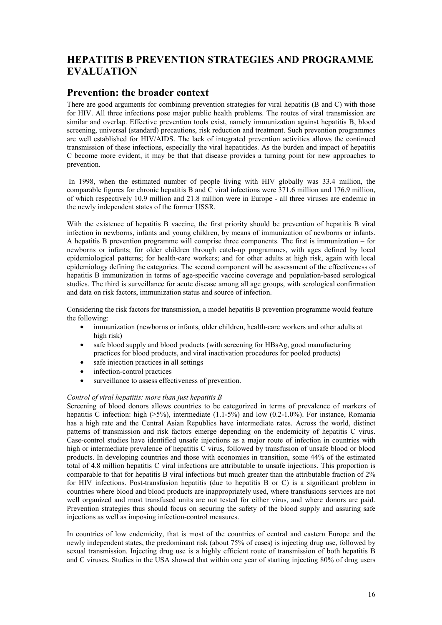# **HEPATITIS B PREVENTION STRATEGIES AND PROGRAMME EVALUATION**

## **Prevention: the broader context**

There are good arguments for combining prevention strategies for viral hepatitis (B and C) with those for HIV. All three infections pose major public health problems. The routes of viral transmission are similar and overlap. Effective prevention tools exist, namely immunization against hepatitis B, blood screening, universal (standard) precautions, risk reduction and treatment. Such prevention programmes are well established for HIV/AIDS. The lack of integrated prevention activities allows the continued transmission of these infections, especially the viral hepatitides. As the burden and impact of hepatitis C become more evident, it may be that that disease provides a turning point for new approaches to prevention.

 In 1998, when the estimated number of people living with HIV globally was 33.4 million, the comparable figures for chronic hepatitis B and C viral infections were 371.6 million and 176.9 million, of which respectively 10.9 million and 21.8 million were in Europe - all three viruses are endemic in the newly independent states of the former USSR.

With the existence of hepatitis B vaccine, the first priority should be prevention of hepatitis B viral infection in newborns, infants and young children, by means of immunization of newborns or infants. A hepatitis B prevention programme will comprise three components. The first is immunization – for newborns or infants; for older children through catch-up programmes, with ages defined by local epidemiological patterns; for health-care workers; and for other adults at high risk, again with local epidemiology defining the categories. The second component will be assessment of the effectiveness of hepatitis B immunization in terms of age-specific vaccine coverage and population-based serological studies. The third is surveillance for acute disease among all age groups, with serological confirmation and data on risk factors, immunization status and source of infection.

Considering the risk factors for transmission, a model hepatitis B prevention programme would feature the following:

- immunization (newborns or infants, older children, health-care workers and other adults at high risk)
- safe blood supply and blood products (with screening for HBsAg, good manufacturing practices for blood products, and viral inactivation procedures for pooled products)
- safe injection practices in all settings
- infection-control practices
- surveillance to assess effectiveness of prevention.

## *Control of viral hepatitis: more than just hepatitis B*

Screening of blood donors allows countries to be categorized in terms of prevalence of markers of hepatitis C infection: high  $(55\%)$ , intermediate  $(1.1-5\%)$  and low  $(0.2-1.0\%)$ . For instance, Romania has a high rate and the Central Asian Republics have intermediate rates. Across the world, distinct patterns of transmission and risk factors emerge depending on the endemicity of hepatitis C virus. Case-control studies have identified unsafe injections as a major route of infection in countries with high or intermediate prevalence of hepatitis C virus, followed by transfusion of unsafe blood or blood products. In developing countries and those with economies in transition, some 44% of the estimated total of 4.8 million hepatitis C viral infections are attributable to unsafe injections. This proportion is comparable to that for hepatitis B viral infections but much greater than the attributable fraction of 2% for HIV infections. Post-transfusion hepatitis (due to hepatitis B or C) is a significant problem in countries where blood and blood products are inappropriately used, where transfusions services are not well organized and most transfused units are not tested for either virus, and where donors are paid. Prevention strategies thus should focus on securing the safety of the blood supply and assuring safe injections as well as imposing infection-control measures.

In countries of low endemicity, that is most of the countries of central and eastern Europe and the newly independent states, the predominant risk (about 75% of cases) is injecting drug use, followed by sexual transmission. Injecting drug use is a highly efficient route of transmission of both hepatitis B and C viruses. Studies in the USA showed that within one year of starting injecting 80% of drug users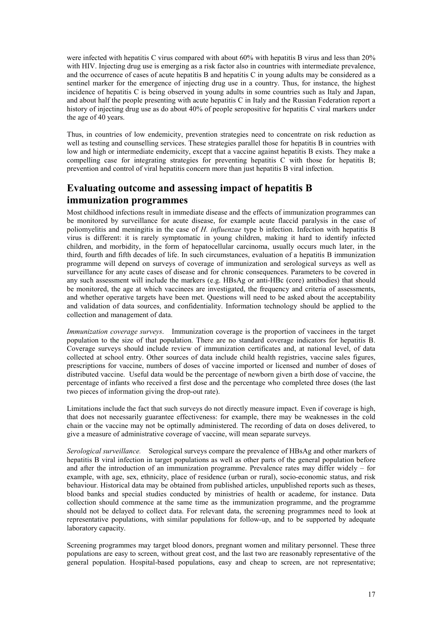were infected with hepatitis C virus compared with about 60% with hepatitis B virus and less than 20% with HIV. Injecting drug use is emerging as a risk factor also in countries with intermediate prevalence, and the occurrence of cases of acute hepatitis B and hepatitis C in young adults may be considered as a sentinel marker for the emergence of injecting drug use in a country. Thus, for instance, the highest incidence of hepatitis C is being observed in young adults in some countries such as Italy and Japan, and about half the people presenting with acute hepatitis C in Italy and the Russian Federation report a history of injecting drug use as do about 40% of people seropositive for hepatitis C viral markers under the age of 40 years.

Thus, in countries of low endemicity, prevention strategies need to concentrate on risk reduction as well as testing and counselling services. These strategies parallel those for hepatitis B in countries with low and high or intermediate endemicity, except that a vaccine against hepatitis B exists. They make a compelling case for integrating strategies for preventing hepatitis C with those for hepatitis B; prevention and control of viral hepatitis concern more than just hepatitis B viral infection.

# **Evaluating outcome and assessing impact of hepatitis B immunization programmes**

Most childhood infections result in immediate disease and the effects of immunization programmes can be monitored by surveillance for acute disease, for example acute flaccid paralysis in the case of poliomyelitis and meningitis in the case of *H. influenzae* type b infection. Infection with hepatitis B virus is different: it is rarely symptomatic in young children, making it hard to identify infected children, and morbidity, in the form of hepatocellular carcinoma, usually occurs much later, in the third, fourth and fifth decades of life. In such circumstances, evaluation of a hepatitis B immunization programme will depend on surveys of coverage of immunization and serological surveys as well as surveillance for any acute cases of disease and for chronic consequences. Parameters to be covered in any such assessment will include the markers (e.g. HBsAg or anti-HBc (core) antibodies) that should be monitored, the age at which vaccinees are investigated, the frequency and criteria of assessments, and whether operative targets have been met. Questions will need to be asked about the acceptability and validation of data sources, and confidentiality. Information technology should be applied to the collection and management of data.

*Immunization coverage surveys*. Immunization coverage is the proportion of vaccinees in the target population to the size of that population. There are no standard coverage indicators for hepatitis B. Coverage surveys should include review of immunization certificates and, at national level, of data collected at school entry. Other sources of data include child health registries, vaccine sales figures, prescriptions for vaccine, numbers of doses of vaccine imported or licensed and number of doses of distributed vaccine. Useful data would be the percentage of newborn given a birth dose of vaccine, the percentage of infants who received a first dose and the percentage who completed three doses (the last two pieces of information giving the drop-out rate).

Limitations include the fact that such surveys do not directly measure impact. Even if coverage is high, that does not necessarily guarantee effectiveness: for example, there may be weaknesses in the cold chain or the vaccine may not be optimally administered. The recording of data on doses delivered, to give a measure of administrative coverage of vaccine, will mean separate surveys.

*Serological surveillance.* Serological surveys compare the prevalence of HBsAg and other markers of hepatitis B viral infection in target populations as well as other parts of the general population before and after the introduction of an immunization programme. Prevalence rates may differ widely – for example, with age, sex, ethnicity, place of residence (urban or rural), socio-economic status, and risk behaviour. Historical data may be obtained from published articles, unpublished reports such as theses, blood banks and special studies conducted by ministries of health or academe, for instance. Data collection should commence at the same time as the immunization programme, and the programme should not be delayed to collect data. For relevant data, the screening programmes need to look at representative populations, with similar populations for follow-up, and to be supported by adequate laboratory capacity.

Screening programmes may target blood donors, pregnant women and military personnel. These three populations are easy to screen, without great cost, and the last two are reasonably representative of the general population. Hospital-based populations, easy and cheap to screen, are not representative;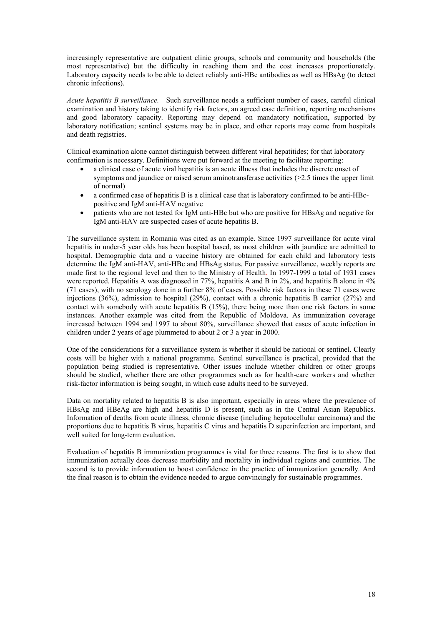increasingly representative are outpatient clinic groups, schools and community and households (the most representative) but the difficulty in reaching them and the cost increases proportionately. Laboratory capacity needs to be able to detect reliably anti-HBc antibodies as well as HBsAg (to detect chronic infections).

*Acute hepatitis B surveillance.* Such surveillance needs a sufficient number of cases, careful clinical examination and history taking to identify risk factors, an agreed case definition, reporting mechanisms and good laboratory capacity. Reporting may depend on mandatory notification, supported by laboratory notification; sentinel systems may be in place, and other reports may come from hospitals and death registries.

Clinical examination alone cannot distinguish between different viral hepatitides; for that laboratory confirmation is necessary. Definitions were put forward at the meeting to facilitate reporting:

- a clinical case of acute viral hepatitis is an acute illness that includes the discrete onset of symptoms and jaundice or raised serum aminotransferase activities ( $>2.5$  times the upper limit of normal)
- a confirmed case of hepatitis B is a clinical case that is laboratory confirmed to be anti-HBcpositive and IgM anti-HAV negative
- patients who are not tested for IgM anti-HBc but who are positive for HBsAg and negative for IgM anti-HAV are suspected cases of acute hepatitis B.

The surveillance system in Romania was cited as an example. Since 1997 surveillance for acute viral hepatitis in under-5 year olds has been hospital based, as most children with jaundice are admitted to hospital. Demographic data and a vaccine history are obtained for each child and laboratory tests determine the IgM anti-HAV, anti-HBc and HBsAg status. For passive surveillance, weekly reports are made first to the regional level and then to the Ministry of Health. In 1997-1999 a total of 1931 cases were reported. Hepatitis A was diagnosed in 77%, hepatitis A and B in 2%, and hepatitis B alone in 4% (71 cases), with no serology done in a further 8% of cases. Possible risk factors in these 71 cases were injections (36%), admission to hospital (29%), contact with a chronic hepatitis B carrier (27%) and contact with somebody with acute hepatitis B (15%), there being more than one risk factors in some instances. Another example was cited from the Republic of Moldova. As immunization coverage increased between 1994 and 1997 to about 80%, surveillance showed that cases of acute infection in children under 2 years of age plummeted to about 2 or 3 a year in 2000.

One of the considerations for a surveillance system is whether it should be national or sentinel. Clearly costs will be higher with a national programme. Sentinel surveillance is practical, provided that the population being studied is representative. Other issues include whether children or other groups should be studied, whether there are other programmes such as for health-care workers and whether risk-factor information is being sought, in which case adults need to be surveyed.

Data on mortality related to hepatitis B is also important, especially in areas where the prevalence of HBsAg and HBeAg are high and hepatitis D is present, such as in the Central Asian Republics. Information of deaths from acute illness, chronic disease (including hepatocellular carcinoma) and the proportions due to hepatitis B virus, hepatitis C virus and hepatitis D superinfection are important, and well suited for long-term evaluation.

Evaluation of hepatitis B immunization programmes is vital for three reasons. The first is to show that immunization actually does decrease morbidity and mortality in individual regions and countries. The second is to provide information to boost confidence in the practice of immunization generally. And the final reason is to obtain the evidence needed to argue convincingly for sustainable programmes.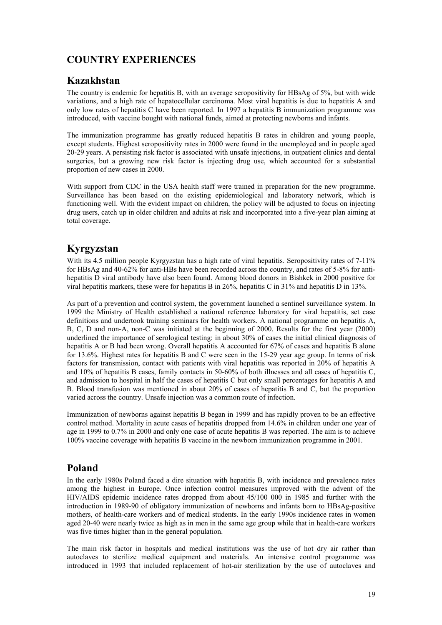# **COUNTRY EXPERIENCES**

## **Kazakhstan**

The country is endemic for hepatitis B, with an average seropositivity for HBsAg of 5%, but with wide variations, and a high rate of hepatocellular carcinoma. Most viral hepatitis is due to hepatitis A and only low rates of hepatitis C have been reported. In 1997 a hepatitis B immunization programme was introduced, with vaccine bought with national funds, aimed at protecting newborns and infants.

The immunization programme has greatly reduced hepatitis B rates in children and young people, except students. Highest seropositivity rates in 2000 were found in the unemployed and in people aged 20-29 years. A persisting risk factor is associated with unsafe injections, in outpatient clinics and dental surgeries, but a growing new risk factor is injecting drug use, which accounted for a substantial proportion of new cases in 2000.

With support from CDC in the USA health staff were trained in preparation for the new programme. Surveillance has been based on the existing epidemiological and laboratory network, which is functioning well. With the evident impact on children, the policy will be adjusted to focus on injecting drug users, catch up in older children and adults at risk and incorporated into a five-year plan aiming at total coverage.

# **Kyrgyzstan**

With its 4.5 million people Kyrgyzstan has a high rate of viral hepatitis. Seropositivity rates of 7-11% for HBsAg and 40-62% for anti-HBs have been recorded across the country, and rates of 5-8% for antihepatitis D viral antibody have also been found. Among blood donors in Bishkek in 2000 positive for viral hepatitis markers, these were for hepatitis B in 26%, hepatitis C in 31% and hepatitis D in 13%.

As part of a prevention and control system, the government launched a sentinel surveillance system. In 1999 the Ministry of Health established a national reference laboratory for viral hepatitis, set case definitions and undertook training seminars for health workers. A national programme on hepatitis A, B, C, D and non-A, non-C was initiated at the beginning of 2000. Results for the first year (2000) underlined the importance of serological testing: in about 30% of cases the initial clinical diagnosis of hepatitis A or B had been wrong. Overall hepatitis A accounted for 67% of cases and hepatitis B alone for 13.6%. Highest rates for hepatitis B and C were seen in the 15-29 year age group. In terms of risk factors for transmission, contact with patients with viral hepatitis was reported in 20% of hepatitis A and 10% of hepatitis B cases, family contacts in 50-60% of both illnesses and all cases of hepatitis C, and admission to hospital in half the cases of hepatitis C but only small percentages for hepatitis A and B. Blood transfusion was mentioned in about 20% of cases of hepatitis B and C, but the proportion varied across the country. Unsafe injection was a common route of infection.

Immunization of newborns against hepatitis B began in 1999 and has rapidly proven to be an effective control method. Mortality in acute cases of hepatitis dropped from 14.6% in children under one year of age in 1999 to 0.7% in 2000 and only one case of acute hepatitis B was reported. The aim is to achieve 100% vaccine coverage with hepatitis B vaccine in the newborn immunization programme in 2001.

# **Poland**

In the early 1980s Poland faced a dire situation with hepatitis B, with incidence and prevalence rates among the highest in Europe. Once infection control measures improved with the advent of the HIV/AIDS epidemic incidence rates dropped from about 45/100 000 in 1985 and further with the introduction in 1989-90 of obligatory immunization of newborns and infants born to HBsAg-positive mothers, of health-care workers and of medical students. In the early 1990s incidence rates in women aged 20-40 were nearly twice as high as in men in the same age group while that in health-care workers was five times higher than in the general population.

The main risk factor in hospitals and medical institutions was the use of hot dry air rather than autoclaves to sterilize medical equipment and materials. An intensive control programme was introduced in 1993 that included replacement of hot-air sterilization by the use of autoclaves and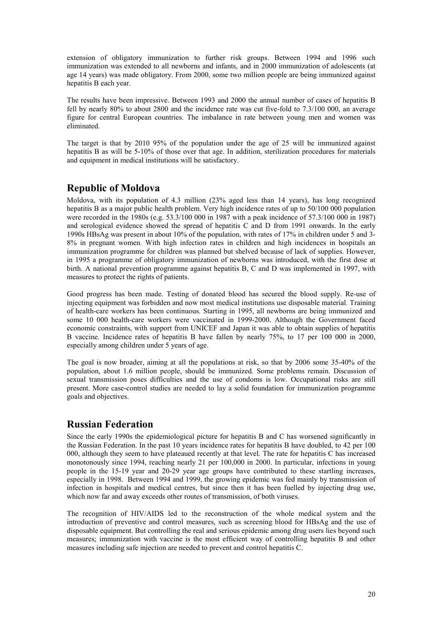extension of obligatory immunization to further risk groups. Between 1994 and 1996 such immunization was extended to all newborns and infants, and in 2000 immunization of adolescents (at age 14 years) was made obligatory. From 2000, some two million people are being immunized against hepatitis B each year.

The results have been impressive. Between 1993 and 2000 the annual number of cases of hepatitis B fell by nearly 80% to about 2800 and the incidence rate was cut five-fold to 7.3/100 000, an average figure for central European countries. The imbalance in rate between young men and women was eliminated.

The target is that by 2010 95% of the population under the age of 25 will be immunized against hepatitis B as will be 5-10% of those over that age. In addition, sterilization procedures for materials and equipment in medical institutions will be satisfactory.

# **Republic of Moldova**

Moldova, with its population of 4.3 million  $(23\%$  aged less than 1.4 years), has long recognized hepatitis B as a major public health problem. Very high incidence rates of up to 50/100 000 population were recorded in the 1980s (e.g. 53.3/100 000 in 1987 with a peak incidence of 57.3/100 000 in 1987) and serological evidence showed the spread of hepatitis C and D from 1991 onwards. In the early 1990s HBsAg was present in about 10% of the population, with rates of 17% in children under 5 and 3- 8% in pregnant women. With high infection rates in children and high incidences in hospitals an immunization programme for children was planned but shelved because of lack of supplies. However, in 1995 a programme of obligatory immunization of newborns was introduced, with the first dose at birth. A national prevention programme against hepatitis B, C and D was implemented in 1997, with measures to protect the rights of patients.

Good progress has been made. Testing of donated blood has secured the blood supply. Re-use of injecting equipment was forbidden and now most medical institutions use disposable material. Training of health-care workers has been continuous. Starting in 1995, all newborns are being immunized and some 10 000 health-care workers were vaccinated in 1999-2000. Although the Government faced economic constraints, with support from UNICEF and Japan it was able to obtain supplies of hepatitis B vaccine. Incidence rates of hepatitis B have fallen by nearly 75%, to 17 per 100 000 in 2000, especially among children under 5 years of age.

The goal is now broader, aiming at all the populations at risk, so that by 2006 some 35-40% of the population, about 1.6 million people, should be immunized. Some problems remain. Discussion of sexual transmission poses difficulties and the use of condoms is low. Occupational risks are still present. More case-control studies are needed to lay a solid foundation for immunization programme goals and objectives.

# **Russian Federation**

Since the early 1990s the epidemiological picture for hepatitis B and C has worsened significantly in the Russian Federation. In the past 10 years incidence rates for hepatitis B have doubled, to 42 per 100 000, although they seem to have plateaued recently at that level. The rate for hepatitis C has increased monotonously since 1994, reaching nearly 21 per 100,000 in 2000. In particular, infections in young people in the 15-19 year and 20-29 year age groups have contributed to these startling increases, especially in 1998. Between 1994 and 1999, the growing epidemic was fed mainly by transmission of infection in hospitals and medical centres, but since then it has been fuelled by injecting drug use, which now far and away exceeds other routes of transmission, of both viruses.

The recognition of HIV/AIDS led to the reconstruction of the whole medical system and the introduction of preventive and control measures, such as screening blood for HBsAg and the use of disposable equipment. But controlling the real and serious epidemic among drug users lies beyond such measures; immunization with vaccine is the most efficient way of controlling hepatitis B and other measures including safe injection are needed to prevent and control hepatitis C.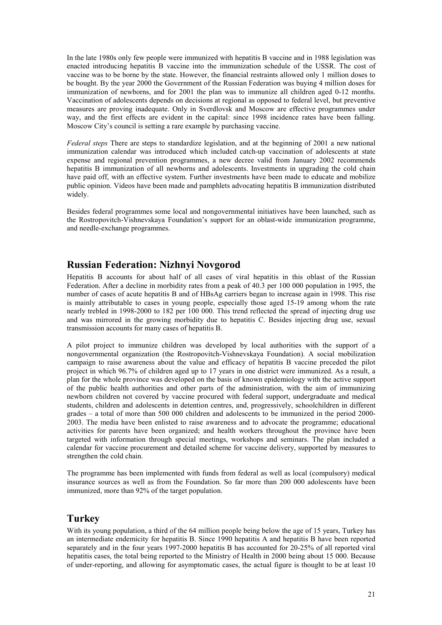In the late 1980s only few people were immunized with hepatitis B vaccine and in 1988 legislation was enacted introducing hepatitis B vaccine into the immunization schedule of the USSR. The cost of vaccine was to be borne by the state. However, the financial restraints allowed only 1 million doses to be bought. By the year 2000 the Government of the Russian Federation was buying 4 million doses for immunization of newborns, and for 2001 the plan was to immunize all children aged 0-12 months. Vaccination of adolescents depends on decisions at regional as opposed to federal level, but preventive measures are proving inadequate. Only in Sverdlovsk and Moscow are effective programmes under way, and the first effects are evident in the capital: since 1998 incidence rates have been falling. Moscow City's council is setting a rare example by purchasing vaccine.

*Federal steps* There are steps to standardize legislation, and at the beginning of 2001 a new national immunization calendar was introduced which included catch-up vaccination of adolescents at state expense and regional prevention programmes, a new decree valid from January 2002 recommends hepatitis B immunization of all newborns and adolescents. Investments in upgrading the cold chain have paid off, with an effective system. Further investments have been made to educate and mobilize public opinion. Videos have been made and pamphlets advocating hepatitis B immunization distributed widely.

Besides federal programmes some local and nongovernmental initiatives have been launched, such as the Rostropovitch-Vishnevskaya Foundation's support for an oblast-wide immunization programme, and needle-exchange programmes.

# **Russian Federation: Nizhnyi Novgorod**

Hepatitis B accounts for about half of all cases of viral hepatitis in this oblast of the Russian Federation. After a decline in morbidity rates from a peak of 40.3 per 100 000 population in 1995, the number of cases of acute hepatitis B and of HBsAg carriers began to increase again in 1998. This rise is mainly attributable to cases in young people, especially those aged 15-19 among whom the rate nearly trebled in 1998-2000 to 182 per 100 000. This trend reflected the spread of injecting drug use and was mirrored in the growing morbidity due to hepatitis C. Besides injecting drug use, sexual transmission accounts for many cases of hepatitis B.

A pilot project to immunize children was developed by local authorities with the support of a nongovernmental organization (the Rostropovitch-Vishnevskaya Foundation). A social mobilization campaign to raise awareness about the value and efficacy of hepatitis B vaccine preceded the pilot project in which 96.7% of children aged up to 17 years in one district were immunized. As a result, a plan for the whole province was developed on the basis of known epidemiology with the active support of the public health authorities and other parts of the administration, with the aim of immunizing newborn children not covered by vaccine procured with federal support, undergraduate and medical students, children and adolescents in detention centres, and, progressively, schoolchildren in different grades – a total of more than 500 000 children and adolescents to be immunized in the period 2000- 2003. The media have been enlisted to raise awareness and to advocate the programme; educational activities for parents have been organized; and health workers throughout the province have been targeted with information through special meetings, workshops and seminars. The plan included a calendar for vaccine procurement and detailed scheme for vaccine delivery, supported by measures to strengthen the cold chain.

The programme has been implemented with funds from federal as well as local (compulsory) medical insurance sources as well as from the Foundation. So far more than 200 000 adolescents have been immunized, more than 92% of the target population.

# **Turkey**

With its young population, a third of the 64 million people being below the age of 15 years, Turkey has an intermediate endemicity for hepatitis B. Since 1990 hepatitis A and hepatitis B have been reported separately and in the four years 1997-2000 hepatitis B has accounted for 20-25% of all reported viral hepatitis cases, the total being reported to the Ministry of Health in 2000 being about 15 000. Because of under-reporting, and allowing for asymptomatic cases, the actual figure is thought to be at least 10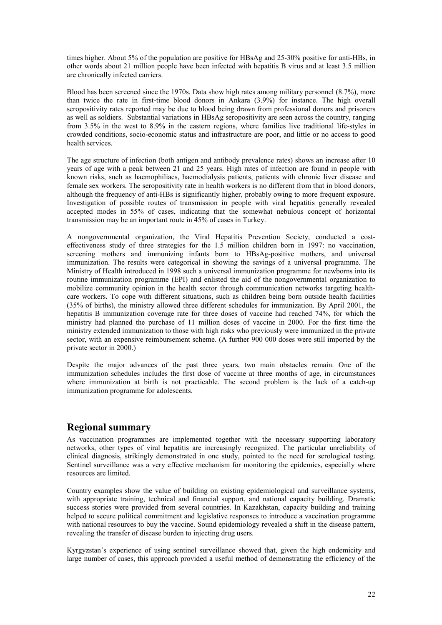times higher. About 5% of the population are positive for HBsAg and 25-30% positive for anti-HBs, in other words about 21 million people have been infected with hepatitis B virus and at least 3.5 million are chronically infected carriers.

Blood has been screened since the 1970s. Data show high rates among military personnel (8.7%), more than twice the rate in first-time blood donors in Ankara (3.9%) for instance. The high overall seropositivity rates reported may be due to blood being drawn from professional donors and prisoners as well as soldiers. Substantial variations in HBsAg seropositivity are seen across the country, ranging from 3.5% in the west to 8.9% in the eastern regions, where families live traditional life-styles in crowded conditions, socio-economic status and infrastructure are poor, and little or no access to good health services.

The age structure of infection (both antigen and antibody prevalence rates) shows an increase after 10 years of age with a peak between 21 and 25 years. High rates of infection are found in people with known risks, such as haemophiliacs, haemodialysis patients, patients with chronic liver disease and female sex workers. The seropositivity rate in health workers is no different from that in blood donors, although the frequency of anti-HBs is significantly higher, probably owing to more frequent exposure. Investigation of possible routes of transmission in people with viral hepatitis generally revealed accepted modes in 55% of cases, indicating that the somewhat nebulous concept of horizontal transmission may be an important route in 45% of cases in Turkey.

A nongovernmental organization, the Viral Hepatitis Prevention Society, conducted a costeffectiveness study of three strategies for the 1.5 million children born in 1997: no vaccination, screening mothers and immunizing infants born to HBsAg-positive mothers, and universal immunization. The results were categorical in showing the savings of a universal programme. The Ministry of Health introduced in 1998 such a universal immunization programme for newborns into its routine immunization programme (EPI) and enlisted the aid of the nongovernmental organization to mobilize community opinion in the health sector through communication networks targeting healthcare workers. To cope with different situations, such as children being born outside health facilities (35% of births), the ministry allowed three different schedules for immunization. By April 2001, the hepatitis B immunization coverage rate for three doses of vaccine had reached 74%, for which the ministry had planned the purchase of 11 million doses of vaccine in 2000. For the first time the ministry extended immunization to those with high risks who previously were immunized in the private sector, with an expensive reimbursement scheme. (A further 900 000 doses were still imported by the private sector in 2000.)

Despite the major advances of the past three years, two main obstacles remain. One of the immunization schedules includes the first dose of vaccine at three months of age, in circumstances where immunization at birth is not practicable. The second problem is the lack of a catch-up immunization programme for adolescents.

# **Regional summary**

As vaccination programmes are implemented together with the necessary supporting laboratory networks, other types of viral hepatitis are increasingly recognized. The particular unreliability of clinical diagnosis, strikingly demonstrated in one study, pointed to the need for serological testing. Sentinel surveillance was a very effective mechanism for monitoring the epidemics, especially where resources are limited.

Country examples show the value of building on existing epidemiological and surveillance systems, with appropriate training, technical and financial support, and national capacity building. Dramatic success stories were provided from several countries. In Kazakhstan, capacity building and training helped to secure political commitment and legislative responses to introduce a vaccination programme with national resources to buy the vaccine. Sound epidemiology revealed a shift in the disease pattern, revealing the transfer of disease burden to injecting drug users.

Kyrgyzstan's experience of using sentinel surveillance showed that, given the high endemicity and large number of cases, this approach provided a useful method of demonstrating the efficiency of the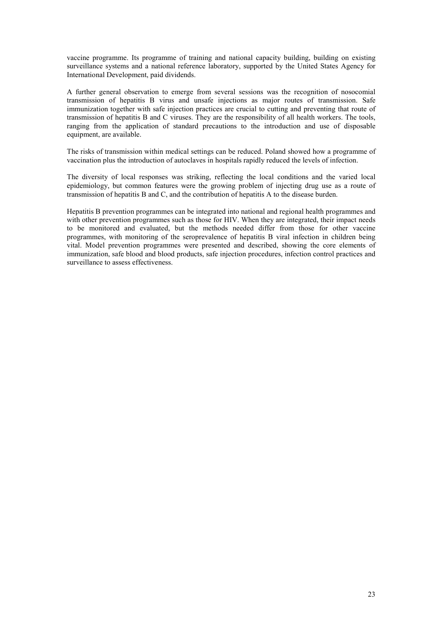vaccine programme. Its programme of training and national capacity building, building on existing surveillance systems and a national reference laboratory, supported by the United States Agency for International Development, paid dividends.

A further general observation to emerge from several sessions was the recognition of nosocomial transmission of hepatitis B virus and unsafe injections as major routes of transmission. Safe immunization together with safe injection practices are crucial to cutting and preventing that route of transmission of hepatitis B and C viruses. They are the responsibility of all health workers. The tools, ranging from the application of standard precautions to the introduction and use of disposable equipment, are available.

The risks of transmission within medical settings can be reduced. Poland showed how a programme of vaccination plus the introduction of autoclaves in hospitals rapidly reduced the levels of infection.

The diversity of local responses was striking, reflecting the local conditions and the varied local epidemiology, but common features were the growing problem of injecting drug use as a route of transmission of hepatitis B and C, and the contribution of hepatitis A to the disease burden.

Hepatitis B prevention programmes can be integrated into national and regional health programmes and with other prevention programmes such as those for HIV. When they are integrated, their impact needs to be monitored and evaluated, but the methods needed differ from those for other vaccine programmes, with monitoring of the seroprevalence of hepatitis B viral infection in children being vital. Model prevention programmes were presented and described, showing the core elements of immunization, safe blood and blood products, safe injection procedures, infection control practices and surveillance to assess effectiveness.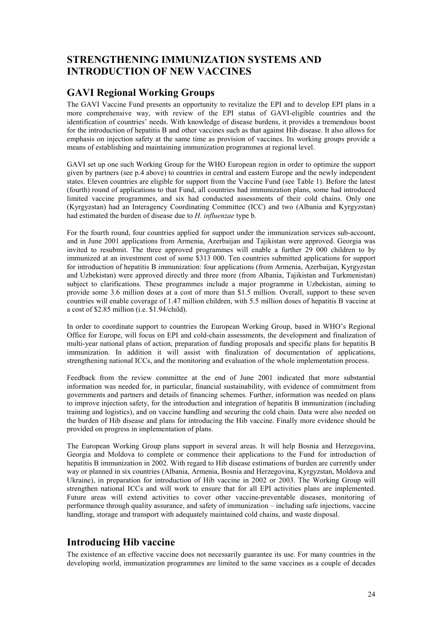# **STRENGTHENING IMMUNIZATION SYSTEMS AND INTRODUCTION OF NEW VACCINES**

# **GAVI Regional Working Groups**

The GAVI Vaccine Fund presents an opportunity to revitalize the EPI and to develop EPI plans in a more comprehensive way, with review of the EPI status of GAVI-eligible countries and the identification of countries' needs. With knowledge of disease burdens, it provides a tremendous boost for the introduction of hepatitis B and other vaccines such as that against Hib disease. It also allows for emphasis on injection safety at the same time as provision of vaccines. Its working groups provide a means of establishing and maintaining immunization programmes at regional level.

GAVI set up one such Working Group for the WHO European region in order to optimize the support given by partners (see p.4 above) to countries in central and eastern Europe and the newly independent states. Eleven countries are eligible for support from the Vaccine Fund (see Table 1). Before the latest (fourth) round of applications to that Fund, all countries had immunization plans, some had introduced limited vaccine programmes, and six had conducted assessments of their cold chains. Only one (Kyrgyzstan) had an Interagency Coordinating Committee (ICC) and two (Albania and Kyrgyzstan) had estimated the burden of disease due to *H. influenzae* type b.

For the fourth round, four countries applied for support under the immunization services sub-account, and in June 2001 applications from Armenia, Azerbaijan and Tajikistan were approved. Georgia was invited to resubmit. The three approved programmes will enable a further 29 000 children to by immunized at an investment cost of some \$313 000. Ten countries submitted applications for support for introduction of hepatitis B immunization: four applications (from Armenia, Azerbaijan, Kyrgyzstan and Uzbekistan) were approved directly and three more (from Albania, Tajikistan and Turkmenistan) subject to clarifications. These programmes include a major programme in Uzbekistan, aiming to provide some 3.6 million doses at a cost of more than \$1.5 million. Overall, support to these seven countries will enable coverage of 1.47 million children, with 5.5 million doses of hepatitis B vaccine at a cost of \$2.85 million (i.e. \$1.94/child).

In order to coordinate support to countries the European Working Group, based in WHO's Regional Office for Europe, will focus on EPI and cold-chain assessments, the development and finalization of multi-year national plans of action, preparation of funding proposals and specific plans for hepatitis B immunization. In addition it will assist with finalization of documentation of applications, strengthening national ICCs, and the monitoring and evaluation of the whole implementation process.

Feedback from the review committee at the end of June 2001 indicated that more substantial information was needed for, in particular, financial sustainability, with evidence of commitment from governments and partners and details of financing schemes. Further, information was needed on plans to improve injection safety, for the introduction and integration of hepatitis B immunization (including training and logistics), and on vaccine handling and securing the cold chain. Data were also needed on the burden of Hib disease and plans for introducing the Hib vaccine. Finally more evidence should be provided on progress in implementation of plans.

The European Working Group plans support in several areas. It will help Bosnia and Herzegovina, Georgia and Moldova to complete or commence their applications to the Fund for introduction of hepatitis B immunization in 2002. With regard to Hib disease estimations of burden are currently under way or planned in six countries (Albania, Armenia, Bosnia and Herzegovina, Kyrgyzstan, Moldova and Ukraine), in preparation for introduction of Hib vaccine in 2002 or 2003. The Working Group will strengthen national ICCs and will work to ensure that for all EPI activities plans are implemented. Future areas will extend activities to cover other vaccine-preventable diseases, monitoring of performance through quality assurance, and safety of immunization – including safe injections, vaccine handling, storage and transport with adequately maintained cold chains, and waste disposal.

# **Introducing Hib vaccine**

The existence of an effective vaccine does not necessarily guarantee its use. For many countries in the developing world, immunization programmes are limited to the same vaccines as a couple of decades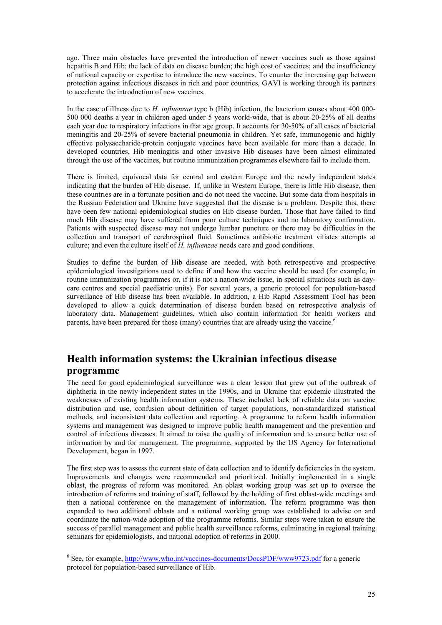ago. Three main obstacles have prevented the introduction of newer vaccines such as those against hepatitis B and Hib: the lack of data on disease burden; the high cost of vaccines; and the insufficiency of national capacity or expertise to introduce the new vaccines. To counter the increasing gap between protection against infectious diseases in rich and poor countries, GAVI is working through its partners to accelerate the introduction of new vaccines.

In the case of illness due to *H. influenzae* type b (Hib) infection, the bacterium causes about 400 000- 500 000 deaths a year in children aged under 5 years world-wide, that is about 20-25% of all deaths each year due to respiratory infections in that age group. It accounts for 30-50% of all cases of bacterial meningitis and 20-25% of severe bacterial pneumonia in children. Yet safe, immunogenic and highly effective polysaccharide-protein conjugate vaccines have been available for more than a decade. In developed countries, Hib meningitis and other invasive Hib diseases have been almost eliminated through the use of the vaccines, but routine immunization programmes elsewhere fail to include them.

There is limited, equivocal data for central and eastern Europe and the newly independent states indicating that the burden of Hib disease. If, unlike in Western Europe, there is little Hib disease, then these countries are in a fortunate position and do not need the vaccine. But some data from hospitals in the Russian Federation and Ukraine have suggested that the disease is a problem. Despite this, there have been few national epidemiological studies on Hib disease burden. Those that have failed to find much Hib disease may have suffered from poor culture techniques and no laboratory confirmation. Patients with suspected disease may not undergo lumbar puncture or there may be difficulties in the collection and transport of cerebrospinal fluid. Sometimes antibiotic treatment vitiates attempts at culture; and even the culture itself of *H. influenzae* needs care and good conditions.

Studies to define the burden of Hib disease are needed, with both retrospective and prospective epidemiological investigations used to define if and how the vaccine should be used (for example, in routine immunization programmes or, if it is not a nation-wide issue, in special situations such as daycare centres and special paediatric units). For several years, a generic protocol for population-based surveillance of Hib disease has been available. In addition, a Hib Rapid Assessment Tool has been developed to allow a quick determination of disease burden based on retrospective analysis of laboratory data. Management guidelines, which also contain information for health workers and parents, have been prepared for those (many) countries that are already using the vaccine.<sup>6</sup>

# **Health information systems: the Ukrainian infectious disease programme**

The need for good epidemiological surveillance was a clear lesson that grew out of the outbreak of diphtheria in the newly independent states in the 1990s, and in Ukraine that epidemic illustrated the weaknesses of existing health information systems. These included lack of reliable data on vaccine distribution and use, confusion about definition of target populations, non-standardized statistical methods, and inconsistent data collection and reporting. A programme to reform health information systems and management was designed to improve public health management and the prevention and control of infectious diseases. It aimed to raise the quality of information and to ensure better use of information by and for management. The programme, supported by the US Agency for International Development, began in 1997.

The first step was to assess the current state of data collection and to identify deficiencies in the system. Improvements and changes were recommended and prioritized. Initially implemented in a single oblast, the progress of reform was monitored. An oblast working group was set up to oversee the introduction of reforms and training of staff, followed by the holding of first oblast-wide meetings and then a national conference on the management of information. The reform programme was then expanded to two additional oblasts and a national working group was established to advise on and coordinate the nation-wide adoption of the programme reforms. Similar steps were taken to ensure the success of parallel management and public health surveillance reforms, culminating in regional training seminars for epidemiologists, and national adoption of reforms in 2000.

 $\overline{a}$ 

<sup>&</sup>lt;sup>6</sup> See, for example, http://www.who.int/vaccines-documents/DocsPDF/www9723.pdf for a generic protocol for population-based surveillance of Hib.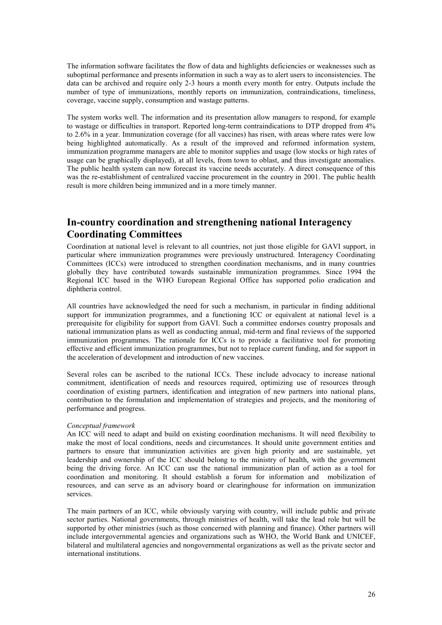The information software facilitates the flow of data and highlights deficiencies or weaknesses such as suboptimal performance and presents information in such a way as to alert users to inconsistencies. The data can be archived and require only 2-3 hours a month every month for entry. Outputs include the number of type of immunizations, monthly reports on immunization, contraindications, timeliness, coverage, vaccine supply, consumption and wastage patterns.

The system works well. The information and its presentation allow managers to respond, for example to wastage or difficulties in transport. Reported long-term contraindications to DTP dropped from 4% to 2.6% in a year. Immunization coverage (for all vaccines) has risen, with areas where rates were low being highlighted automatically. As a result of the improved and reformed information system, immunization programme managers are able to monitor supplies and usage (low stocks or high rates of usage can be graphically displayed), at all levels, from town to oblast, and thus investigate anomalies. The public health system can now forecast its vaccine needs accurately. A direct consequence of this was the re-establishment of centralized vaccine procurement in the country in 2001. The public health result is more children being immunized and in a more timely manner.

# **In-country coordination and strengthening national Interagency Coordinating Committees**

Coordination at national level is relevant to all countries, not just those eligible for GAVI support, in particular where immunization programmes were previously unstructured. Interagency Coordinating Committees (ICCs) were introduced to strengthen coordination mechanisms, and in many countries globally they have contributed towards sustainable immunization programmes. Since 1994 the Regional ICC based in the WHO European Regional Office has supported polio eradication and diphtheria control.

All countries have acknowledged the need for such a mechanism, in particular in finding additional support for immunization programmes, and a functioning ICC or equivalent at national level is a prerequisite for eligibility for support from GAVI. Such a committee endorses country proposals and national immunization plans as well as conducting annual, mid-term and final reviews of the supported immunization programmes. The rationale for ICCs is to provide a facilitative tool for promoting effective and efficient immunization programmes, but not to replace current funding, and for support in the acceleration of development and introduction of new vaccines.

Several roles can be ascribed to the national ICCs. These include advocacy to increase national commitment, identification of needs and resources required, optimizing use of resources through coordination of existing partners, identification and integration of new partners into national plans, contribution to the formulation and implementation of strategies and projects, and the monitoring of performance and progress.

## *Conceptual framework*

An ICC will need to adapt and build on existing coordination mechanisms. It will need flexibility to make the most of local conditions, needs and circumstances. It should unite government entities and partners to ensure that immunization activities are given high priority and are sustainable, yet leadership and ownership of the ICC should belong to the ministry of health, with the government being the driving force. An ICC can use the national immunization plan of action as a tool for coordination and monitoring. It should establish a forum for information and mobilization of resources, and can serve as an advisory board or clearinghouse for information on immunization services.

The main partners of an ICC, while obviously varying with country, will include public and private sector parties. National governments, through ministries of health, will take the lead role but will be supported by other ministries (such as those concerned with planning and finance). Other partners will include intergovernmental agencies and organizations such as WHO, the World Bank and UNICEF, bilateral and multilateral agencies and nongovernmental organizations as well as the private sector and international institutions.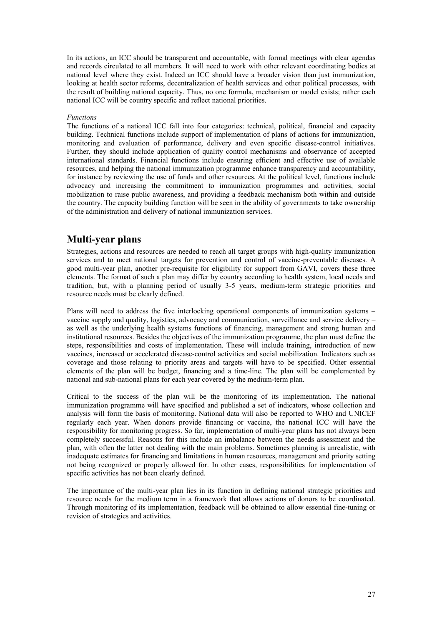In its actions, an ICC should be transparent and accountable, with formal meetings with clear agendas and records circulated to all members. It will need to work with other relevant coordinating bodies at national level where they exist. Indeed an ICC should have a broader vision than just immunization, looking at health sector reforms, decentralization of health services and other political processes, with the result of building national capacity. Thus, no one formula, mechanism or model exists; rather each national ICC will be country specific and reflect national priorities.

### *Functions*

The functions of a national ICC fall into four categories: technical, political, financial and capacity building. Technical functions include support of implementation of plans of actions for immunization, monitoring and evaluation of performance, delivery and even specific disease-control initiatives. Further, they should include application of quality control mechanisms and observance of accepted international standards. Financial functions include ensuring efficient and effective use of available resources, and helping the national immunization programme enhance transparency and accountability, for instance by reviewing the use of funds and other resources. At the political level, functions include advocacy and increasing the commitment to immunization programmes and activities, social mobilization to raise public awareness, and providing a feedback mechanism both within and outside the country. The capacity building function will be seen in the ability of governments to take ownership of the administration and delivery of national immunization services.

# **Multi-year plans**

Strategies, actions and resources are needed to reach all target groups with high-quality immunization services and to meet national targets for prevention and control of vaccine-preventable diseases. A good multi-year plan, another pre-requisite for eligibility for support from GAVI, covers these three elements. The format of such a plan may differ by country according to health system, local needs and tradition, but, with a planning period of usually 3-5 years, medium-term strategic priorities and resource needs must be clearly defined.

Plans will need to address the five interlocking operational components of immunization systems – vaccine supply and quality, logistics, advocacy and communication, surveillance and service delivery – as well as the underlying health systems functions of financing, management and strong human and institutional resources. Besides the objectives of the immunization programme, the plan must define the steps, responsibilities and costs of implementation. These will include training, introduction of new vaccines, increased or accelerated disease-control activities and social mobilization. Indicators such as coverage and those relating to priority areas and targets will have to be specified. Other essential elements of the plan will be budget, financing and a time-line. The plan will be complemented by national and sub-national plans for each year covered by the medium-term plan.

Critical to the success of the plan will be the monitoring of its implementation. The national immunization programme will have specified and published a set of indicators, whose collection and analysis will form the basis of monitoring. National data will also be reported to WHO and UNICEF regularly each year. When donors provide financing or vaccine, the national ICC will have the responsibility for monitoring progress. So far, implementation of multi-year plans has not always been completely successful. Reasons for this include an imbalance between the needs assessment and the plan, with often the latter not dealing with the main problems. Sometimes planning is unrealistic, with inadequate estimates for financing and limitations in human resources, management and priority setting not being recognized or properly allowed for. In other cases, responsibilities for implementation of specific activities has not been clearly defined.

The importance of the multi-year plan lies in its function in defining national strategic priorities and resource needs for the medium term in a framework that allows actions of donors to be coordinated. Through monitoring of its implementation, feedback will be obtained to allow essential fine-tuning or revision of strategies and activities.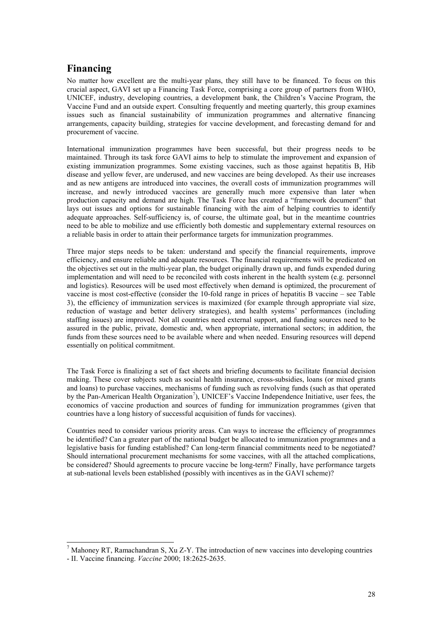# **Financing**

 $\overline{\phantom{a}}$ 

No matter how excellent are the multi-year plans, they still have to be financed. To focus on this crucial aspect, GAVI set up a Financing Task Force, comprising a core group of partners from WHO, UNICEF, industry, developing countries, a development bank, the Children's Vaccine Program, the Vaccine Fund and an outside expert. Consulting frequently and meeting quarterly, this group examines issues such as financial sustainability of immunization programmes and alternative financing arrangements, capacity building, strategies for vaccine development, and forecasting demand for and procurement of vaccine.

International immunization programmes have been successful, but their progress needs to be maintained. Through its task force GAVI aims to help to stimulate the improvement and expansion of existing immunization programmes. Some existing vaccines, such as those against hepatitis B, Hib disease and yellow fever, are underused, and new vaccines are being developed. As their use increases and as new antigens are introduced into vaccines, the overall costs of immunization programmes will increase, and newly introduced vaccines are generally much more expensive than later when production capacity and demand are high. The Task Force has created a "framework document" that lays out issues and options for sustainable financing with the aim of helping countries to identify adequate approaches. Self-sufficiency is, of course, the ultimate goal, but in the meantime countries need to be able to mobilize and use efficiently both domestic and supplementary external resources on a reliable basis in order to attain their performance targets for immunization programmes.

Three major steps needs to be taken: understand and specify the financial requirements, improve efficiency, and ensure reliable and adequate resources. The financial requirements will be predicated on the objectives set out in the multi-year plan, the budget originally drawn up, and funds expended during implementation and will need to be reconciled with costs inherent in the health system (e.g. personnel and logistics). Resources will be used most effectively when demand is optimized, the procurement of vaccine is most cost-effective (consider the 10-fold range in prices of hepatitis B vaccine – see Table 3), the efficiency of immunization services is maximized (for example through appropriate vial size, reduction of wastage and better delivery strategies), and health systems' performances (including staffing issues) are improved. Not all countries need external support, and funding sources need to be assured in the public, private, domestic and, when appropriate, international sectors; in addition, the funds from these sources need to be available where and when needed. Ensuring resources will depend essentially on political commitment.

The Task Force is finalizing a set of fact sheets and briefing documents to facilitate financial decision making. These cover subjects such as social health insurance, cross-subsidies, loans (or mixed grants and loans) to purchase vaccines, mechanisms of funding such as revolving funds (such as that operated by the Pan-American Health Organization<sup>7</sup>), UNICEF's Vaccine Independence Initiative, user fees, the economics of vaccine production and sources of funding for immunization programmes (given that countries have a long history of successful acquisition of funds for vaccines).

Countries need to consider various priority areas. Can ways to increase the efficiency of programmes be identified? Can a greater part of the national budget be allocated to immunization programmes and a legislative basis for funding established? Can long-term financial commitments need to be negotiated? Should international procurement mechanisms for some vaccines, with all the attached complications, be considered? Should agreements to procure vaccine be long-term? Finally, have performance targets at sub-national levels been established (possibly with incentives as in the GAVI scheme)?

 $<sup>7</sup>$  Mahoney RT, Ramachandran S, Xu Z-Y. The introduction of new vaccines into developing countries</sup> - II. Vaccine financing. *Vaccine* 2000; 18:2625-2635.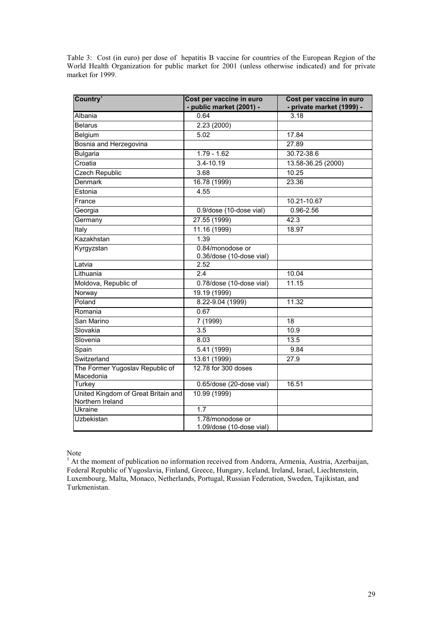Table 3: Cost (in euro) per dose of hepatitis B vaccine for countries of the European Region of the World Health Organization for public market for 2001 (unless otherwise indicated) and for private market for 1999.

| Country <sup>1</sup>                                    | Cost per vaccine in euro<br>- public market (2001) - | Cost per vaccine in euro<br>- private market (1999) - |
|---------------------------------------------------------|------------------------------------------------------|-------------------------------------------------------|
| Albania                                                 | 0.64                                                 | 3.18                                                  |
| <b>Belarus</b>                                          | 2.23 (2000)                                          |                                                       |
| Belgium                                                 | 5.02                                                 | 17.84                                                 |
| Bosnia and Herzegovina                                  |                                                      | 27.89                                                 |
| <b>Bulgaria</b>                                         | $1.79 - 1.62$                                        | 30.72-38.6                                            |
| Croatia                                                 | $3.4 - 10.19$                                        | 13.58-36.25 (2000)                                    |
| <b>Czech Republic</b>                                   | 3.68                                                 | 10.25                                                 |
| Denmark                                                 | 16.78 (1999)                                         | 23.36                                                 |
| Estonia                                                 | 4.55                                                 |                                                       |
| France                                                  |                                                      | 10.21-10.67                                           |
| Georgia                                                 | 0.9/dose (10-dose vial)                              | $0.96 - 2.56$                                         |
| Germany                                                 | 27.55 (1999)                                         | 42.3                                                  |
| Italy                                                   | 11.16 (1999)                                         | 18.97                                                 |
| Kazakhstan                                              | 1.39                                                 |                                                       |
| Kyrgyzstan                                              | 0.84/monodose or<br>0.36/dose (10-dose vial)         |                                                       |
| Latvia                                                  | 2.52                                                 |                                                       |
| Lithuania                                               | 2.4                                                  | 10.04                                                 |
| Moldova, Republic of                                    | 0.78/dose (10-dose vial)                             | 11.15                                                 |
| Norway                                                  | 19.19 (1999)                                         |                                                       |
| Poland                                                  | 8.22-9.04 (1999)                                     | 11.32                                                 |
| Romania                                                 | 0.67                                                 |                                                       |
| San Marino                                              | 7 (1999)                                             | 18                                                    |
| Slovakia                                                | $\overline{3.5}$                                     | 10.9                                                  |
| Slovenia                                                | 8.03                                                 | 13.5                                                  |
| Spain                                                   | 5.41 (1999)                                          | 9.84                                                  |
| Switzerland                                             | 13.61 (1999)                                         | 27.9                                                  |
| The Former Yugoslav Republic of<br>Macedonia            | 12.78 for 300 doses                                  |                                                       |
| Turkey                                                  | 0.65/dose (20-dose vial)                             | 16.51                                                 |
| United Kingdom of Great Britain and<br>Northern Ireland | 10.99 (1999)                                         |                                                       |
| Ukraine                                                 | 1.7                                                  |                                                       |
| Uzbekistan                                              | 1.78/monodose or<br>1.09/dose (10-dose vial)         |                                                       |

Note

<sup>1</sup> At the moment of publication no information received from Andorra, Armenia, Austria, Azerbaijan, Federal Republic of Yugoslavia, Finland, Greece, Hungary, Iceland, Ireland, Israel, Liechtenstein, Luxembourg, Malta, Monaco, Netherlands, Portugal, Russian Federation, Sweden, Tajikistan, and Turkmenistan.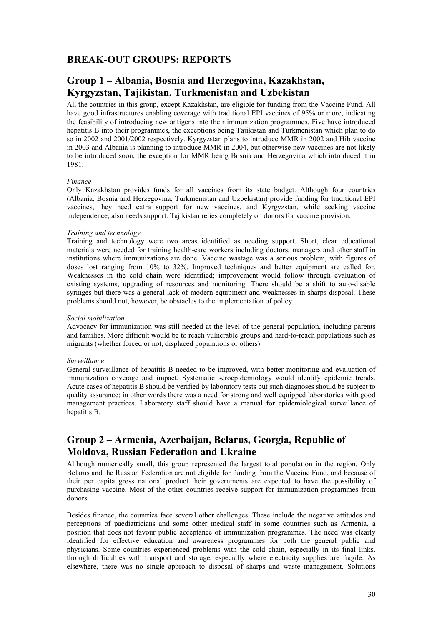# **BREAK-OUT GROUPS: REPORTS**

# **Group 1 – Albania, Bosnia and Herzegovina, Kazakhstan, Kyrgyzstan, Tajikistan, Turkmenistan and Uzbekistan**

All the countries in this group, except Kazakhstan, are eligible for funding from the Vaccine Fund. All have good infrastructures enabling coverage with traditional EPI vaccines of 95% or more, indicating the feasibility of introducing new antigens into their immunization programmes. Five have introduced hepatitis B into their programmes, the exceptions being Tajikistan and Turkmenistan which plan to do so in 2002 and 2001/2002 respectively. Kyrgyzstan plans to introduce MMR in 2002 and Hib vaccine in 2003 and Albania is planning to introduce MMR in 2004, but otherwise new vaccines are not likely to be introduced soon, the exception for MMR being Bosnia and Herzegovina which introduced it in 1981.

### *Finance*

Only Kazakhstan provides funds for all vaccines from its state budget. Although four countries (Albania, Bosnia and Herzegovina, Turkmenistan and Uzbekistan) provide funding for traditional EPI vaccines, they need extra support for new vaccines, and Kyrgyzstan, while seeking vaccine independence, also needs support. Tajikistan relies completely on donors for vaccine provision.

### *Training and technology*

Training and technology were two areas identified as needing support. Short, clear educational materials were needed for training health-care workers including doctors, managers and other staff in institutions where immunizations are done. Vaccine wastage was a serious problem, with figures of doses lost ranging from 10% to 32%. Improved techniques and better equipment are called for. Weaknesses in the cold chain were identified; improvement would follow through evaluation of existing systems, upgrading of resources and monitoring. There should be a shift to auto-disable syringes but there was a general lack of modern equipment and weaknesses in sharps disposal. These problems should not, however, be obstacles to the implementation of policy.

### *Social mobilization*

Advocacy for immunization was still needed at the level of the general population, including parents and families. More difficult would be to reach vulnerable groups and hard-to-reach populations such as migrants (whether forced or not, displaced populations or others).

### *Surveillance*

General surveillance of hepatitis B needed to be improved, with better monitoring and evaluation of immunization coverage and impact. Systematic seroepidemiology would identify epidemic trends. Acute cases of hepatitis B should be verified by laboratory tests but such diagnoses should be subject to quality assurance; in other words there was a need for strong and well equipped laboratories with good management practices. Laboratory staff should have a manual for epidemiological surveillance of hepatitis B.

# **Group 2 – Armenia, Azerbaijan, Belarus, Georgia, Republic of Moldova, Russian Federation and Ukraine**

Although numerically small, this group represented the largest total population in the region. Only Belarus and the Russian Federation are not eligible for funding from the Vaccine Fund, and because of their per capita gross national product their governments are expected to have the possibility of purchasing vaccine. Most of the other countries receive support for immunization programmes from donors.

Besides finance, the countries face several other challenges. These include the negative attitudes and perceptions of paediatricians and some other medical staff in some countries such as Armenia, a position that does not favour public acceptance of immunization programmes. The need was clearly identified for effective education and awareness programmes for both the general public and physicians. Some countries experienced problems with the cold chain, especially in its final links, through difficulties with transport and storage, especially where electricity supplies are fragile. As elsewhere, there was no single approach to disposal of sharps and waste management. Solutions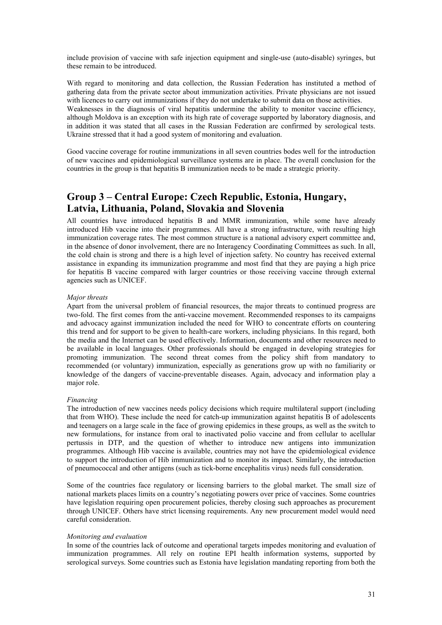include provision of vaccine with safe injection equipment and single-use (auto-disable) syringes, but these remain to be introduced.

With regard to monitoring and data collection, the Russian Federation has instituted a method of gathering data from the private sector about immunization activities. Private physicians are not issued with licences to carry out immunizations if they do not undertake to submit data on those activities. Weaknesses in the diagnosis of viral hepatitis undermine the ability to monitor vaccine efficiency, although Moldova is an exception with its high rate of coverage supported by laboratory diagnosis, and in addition it was stated that all cases in the Russian Federation are confirmed by serological tests. Ukraine stressed that it had a good system of monitoring and evaluation.

Good vaccine coverage for routine immunizations in all seven countries bodes well for the introduction of new vaccines and epidemiological surveillance systems are in place. The overall conclusion for the countries in the group is that hepatitis B immunization needs to be made a strategic priority.

# **Group 3 – Central Europe: Czech Republic, Estonia, Hungary, Latvia, Lithuania, Poland, Slovakia and Slovenia**

All countries have introduced hepatitis B and MMR immunization, while some have already introduced Hib vaccine into their programmes. All have a strong infrastructure, with resulting high immunization coverage rates. The most common structure is a national advisory expert committee and, in the absence of donor involvement, there are no Interagency Coordinating Committees as such. In all, the cold chain is strong and there is a high level of injection safety. No country has received external assistance in expanding its immunization programme and most find that they are paying a high price for hepatitis B vaccine compared with larger countries or those receiving vaccine through external agencies such as UNICEF.

### *Major threats*

Apart from the universal problem of financial resources, the major threats to continued progress are two-fold. The first comes from the anti-vaccine movement. Recommended responses to its campaigns and advocacy against immunization included the need for WHO to concentrate efforts on countering this trend and for support to be given to health-care workers, including physicians. In this regard, both the media and the Internet can be used effectively. Information, documents and other resources need to be available in local languages. Other professionals should be engaged in developing strategies for promoting immunization. The second threat comes from the policy shift from mandatory to recommended (or voluntary) immunization, especially as generations grow up with no familiarity or knowledge of the dangers of vaccine-preventable diseases. Again, advocacy and information play a major role.

### *Financing*

The introduction of new vaccines needs policy decisions which require multilateral support (including that from WHO). These include the need for catch-up immunization against hepatitis B of adolescents and teenagers on a large scale in the face of growing epidemics in these groups, as well as the switch to new formulations, for instance from oral to inactivated polio vaccine and from cellular to acellular pertussis in DTP, and the question of whether to introduce new antigens into immunization programmes. Although Hib vaccine is available, countries may not have the epidemiological evidence to support the introduction of Hib immunization and to monitor its impact. Similarly, the introduction of pneumococcal and other antigens (such as tick-borne encephalitis virus) needs full consideration.

Some of the countries face regulatory or licensing barriers to the global market. The small size of national markets places limits on a country's negotiating powers over price of vaccines. Some countries have legislation requiring open procurement policies, thereby closing such approaches as procurement through UNICEF. Others have strict licensing requirements. Any new procurement model would need careful consideration.

### *Monitoring and evaluation*

In some of the countries lack of outcome and operational targets impedes monitoring and evaluation of immunization programmes. All rely on routine EPI health information systems, supported by serological surveys. Some countries such as Estonia have legislation mandating reporting from both the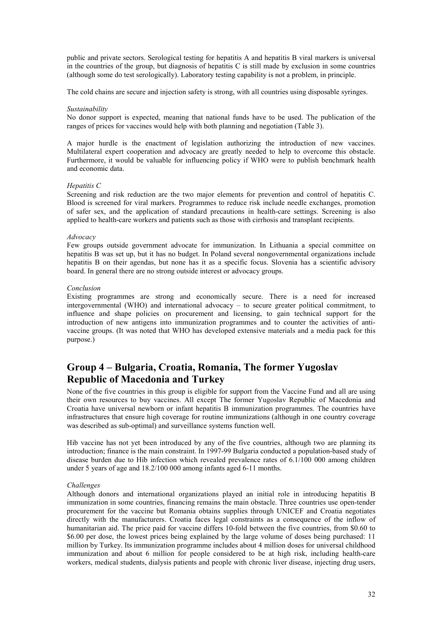public and private sectors. Serological testing for hepatitis A and hepatitis B viral markers is universal in the countries of the group, but diagnosis of hepatitis C is still made by exclusion in some countries (although some do test serologically). Laboratory testing capability is not a problem, in principle.

The cold chains are secure and injection safety is strong, with all countries using disposable syringes.

### *Sustainability*

No donor support is expected, meaning that national funds have to be used. The publication of the ranges of prices for vaccines would help with both planning and negotiation (Table 3).

A major hurdle is the enactment of legislation authorizing the introduction of new vaccines. Multilateral expert cooperation and advocacy are greatly needed to help to overcome this obstacle. Furthermore, it would be valuable for influencing policy if WHO were to publish benchmark health and economic data.

### *Hepatitis C*

Screening and risk reduction are the two major elements for prevention and control of hepatitis C. Blood is screened for viral markers. Programmes to reduce risk include needle exchanges, promotion of safer sex, and the application of standard precautions in health-care settings. Screening is also applied to health-care workers and patients such as those with cirrhosis and transplant recipients.

### *Advocacy*

Few groups outside government advocate for immunization. In Lithuania a special committee on hepatitis B was set up, but it has no budget. In Poland several nongovernmental organizations include hepatitis B on their agendas, but none has it as a specific focus. Slovenia has a scientific advisory board. In general there are no strong outside interest or advocacy groups.

### *Conclusion*

Existing programmes are strong and economically secure. There is a need for increased intergovernmental (WHO) and international advocacy – to secure greater political commitment, to influence and shape policies on procurement and licensing, to gain technical support for the introduction of new antigens into immunization programmes and to counter the activities of antivaccine groups. (It was noted that WHO has developed extensive materials and a media pack for this purpose.)

# **Group 4 – Bulgaria, Croatia, Romania, The former Yugoslav Republic of Macedonia and Turkey**

None of the five countries in this group is eligible for support from the Vaccine Fund and all are using their own resources to buy vaccines. All except The former Yugoslav Republic of Macedonia and Croatia have universal newborn or infant hepatitis B immunization programmes. The countries have infrastructures that ensure high coverage for routine immunizations (although in one country coverage was described as sub-optimal) and surveillance systems function well.

Hib vaccine has not yet been introduced by any of the five countries, although two are planning its introduction; finance is the main constraint. In 1997-99 Bulgaria conducted a population-based study of disease burden due to Hib infection which revealed prevalence rates of 6.1/100 000 among children under 5 years of age and 18.2/100 000 among infants aged 6-11 months.

## *Challenges*

Although donors and international organizations played an initial role in introducing hepatitis B immunization in some countries, financing remains the main obstacle. Three countries use open-tender procurement for the vaccine but Romania obtains supplies through UNICEF and Croatia negotiates directly with the manufacturers. Croatia faces legal constraints as a consequence of the inflow of humanitarian aid. The price paid for vaccine differs 10-fold between the five countries, from \$0.60 to \$6.00 per dose, the lowest prices being explained by the large volume of doses being purchased: 11 million by Turkey. Its immunization programme includes about 4 million doses for universal childhood immunization and about 6 million for people considered to be at high risk, including health-care workers, medical students, dialysis patients and people with chronic liver disease, injecting drug users,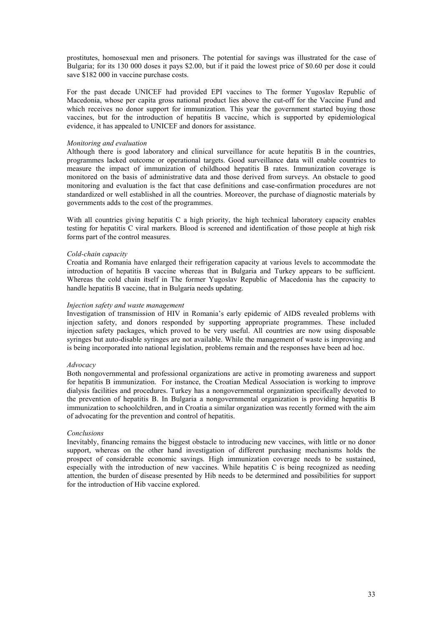prostitutes, homosexual men and prisoners. The potential for savings was illustrated for the case of Bulgaria; for its 130 000 doses it pays \$2.00, but if it paid the lowest price of \$0.60 per dose it could save \$182 000 in vaccine purchase costs.

For the past decade UNICEF had provided EPI vaccines to The former Yugoslav Republic of Macedonia, whose per capita gross national product lies above the cut-off for the Vaccine Fund and which receives no donor support for immunization. This year the government started buying those vaccines, but for the introduction of hepatitis B vaccine, which is supported by epidemiological evidence, it has appealed to UNICEF and donors for assistance.

### *Monitoring and evaluation*

Although there is good laboratory and clinical surveillance for acute hepatitis B in the countries, programmes lacked outcome or operational targets. Good surveillance data will enable countries to measure the impact of immunization of childhood hepatitis B rates. Immunization coverage is monitored on the basis of administrative data and those derived from surveys. An obstacle to good monitoring and evaluation is the fact that case definitions and case-confirmation procedures are not standardized or well established in all the countries. Moreover, the purchase of diagnostic materials by governments adds to the cost of the programmes.

With all countries giving hepatitis C a high priority, the high technical laboratory capacity enables testing for hepatitis C viral markers. Blood is screened and identification of those people at high risk forms part of the control measures.

### *Cold-chain capacity*

Croatia and Romania have enlarged their refrigeration capacity at various levels to accommodate the introduction of hepatitis B vaccine whereas that in Bulgaria and Turkey appears to be sufficient. Whereas the cold chain itself in The former Yugoslav Republic of Macedonia has the capacity to handle hepatitis B vaccine, that in Bulgaria needs updating.

### *Injection safety and waste management*

Investigation of transmission of HIV in Romania's early epidemic of AIDS revealed problems with injection safety, and donors responded by supporting appropriate programmes. These included injection safety packages, which proved to be very useful. All countries are now using disposable syringes but auto-disable syringes are not available. While the management of waste is improving and is being incorporated into national legislation, problems remain and the responses have been ad hoc.

## *Advocacy*

Both nongovernmental and professional organizations are active in promoting awareness and support for hepatitis B immunization. For instance, the Croatian Medical Association is working to improve dialysis facilities and procedures. Turkey has a nongovernmental organization specifically devoted to the prevention of hepatitis B. In Bulgaria a nongovernmental organization is providing hepatitis B immunization to schoolchildren, and in Croatia a similar organization was recently formed with the aim of advocating for the prevention and control of hepatitis.

### *Conclusions*

Inevitably, financing remains the biggest obstacle to introducing new vaccines, with little or no donor support, whereas on the other hand investigation of different purchasing mechanisms holds the prospect of considerable economic savings. High immunization coverage needs to be sustained, especially with the introduction of new vaccines. While hepatitis C is being recognized as needing attention, the burden of disease presented by Hib needs to be determined and possibilities for support for the introduction of Hib vaccine explored.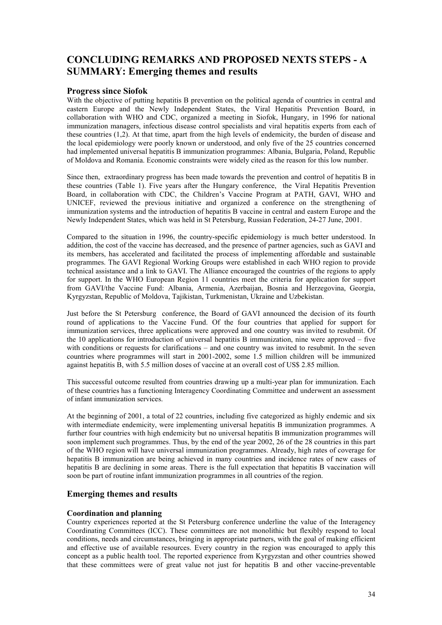# **CONCLUDING REMARKS AND PROPOSED NEXTS STEPS - A SUMMARY: Emerging themes and results**

## **Progress since Siofok**

With the objective of putting hepatitis B prevention on the political agenda of countries in central and eastern Europe and the Newly Independent States, the Viral Hepatitis Prevention Board, in collaboration with WHO and CDC, organized a meeting in Siofok, Hungary, in 1996 for national immunization managers, infectious disease control specialists and viral hepatitis experts from each of these countries (1,2). At that time, apart from the high levels of endemicity, the burden of disease and the local epidemiology were poorly known or understood, and only five of the 25 countries concerned had implemented universal hepatitis B immunization programmes: Albania, Bulgaria, Poland, Republic of Moldova and Romania. Economic constraints were widely cited as the reason for this low number.

Since then, extraordinary progress has been made towards the prevention and control of hepatitis B in these countries (Table 1). Five years after the Hungary conference, the Viral Hepatitis Prevention Board, in collaboration with CDC, the Children's Vaccine Program at PATH, GAVI, WHO and UNICEF, reviewed the previous initiative and organized a conference on the strengthening of immunization systems and the introduction of hepatitis B vaccine in central and eastern Europe and the Newly Independent States, which was held in St Petersburg, Russian Federation, 24-27 June, 2001.

Compared to the situation in 1996, the country-specific epidemiology is much better understood. In addition, the cost of the vaccine has decreased, and the presence of partner agencies, such as GAVI and its members, has accelerated and facilitated the process of implementing affordable and sustainable programmes. The GAVI Regional Working Groups were established in each WHO region to provide technical assistance and a link to GAVI. The Alliance encouraged the countries of the regions to apply for support. In the WHO European Region 11 countries meet the criteria for application for support from GAVI/the Vaccine Fund: Albania, Armenia, Azerbaijan, Bosnia and Herzegovina, Georgia, Kyrgyzstan, Republic of Moldova, Tajikistan, Turkmenistan, Ukraine and Uzbekistan.

Just before the St Petersburg conference, the Board of GAVI announced the decision of its fourth round of applications to the Vaccine Fund. Of the four countries that applied for support for immunization services, three applications were approved and one country was invited to resubmit. Of the 10 applications for introduction of universal hepatitis B immunization, nine were approved – five with conditions or requests for clarifications – and one country was invited to resubmit. In the seven countries where programmes will start in 2001-2002, some 1.5 million children will be immunized against hepatitis B, with 5.5 million doses of vaccine at an overall cost of US\$ 2.85 million.

This successful outcome resulted from countries drawing up a multi-year plan for immunization. Each of these countries has a functioning Interagency Coordinating Committee and underwent an assessment of infant immunization services.

At the beginning of 2001, a total of 22 countries, including five categorized as highly endemic and six with intermediate endemicity, were implementing universal hepatitis B immunization programmes. A further four countries with high endemicity but no universal hepatitis B immunization programmes will soon implement such programmes. Thus, by the end of the year 2002, 26 of the 28 countries in this part of the WHO region will have universal immunization programmes. Already, high rates of coverage for hepatitis B immunization are being achieved in many countries and incidence rates of new cases of hepatitis B are declining in some areas. There is the full expectation that hepatitis B vaccination will soon be part of routine infant immunization programmes in all countries of the region.

## **Emerging themes and results**

## **Coordination and planning**

Country experiences reported at the St Petersburg conference underline the value of the Interagency Coordinating Committees (ICC). These committees are not monolithic but flexibly respond to local conditions, needs and circumstances, bringing in appropriate partners, with the goal of making efficient and effective use of available resources. Every country in the region was encouraged to apply this concept as a public health tool. The reported experience from Kyrgyzstan and other countries showed that these committees were of great value not just for hepatitis B and other vaccine-preventable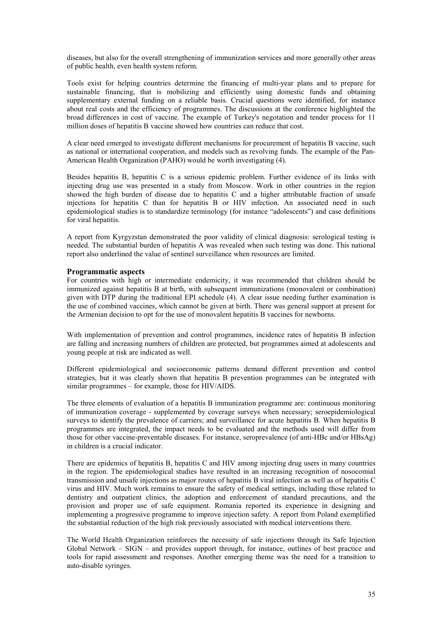diseases, but also for the overall strengthening of immunization services and more generally other areas of public health, even health system reform.

Tools exist for helping countries determine the financing of multi-year plans and to prepare for sustainable financing, that is mobilizing and efficiently using domestic funds and obtaining supplementary external funding on a reliable basis. Crucial questions were identified, for instance about real costs and the efficiency of programmes. The discussions at the conference highlighted the broad differences in cost of vaccine. The example of Turkey's negotation and tender process for 11 million doses of hepatitis B vaccine showed how countries can reduce that cost.

A clear need emerged to investigate different mechanisms for procurement of hepatitis B vaccine, such as national or international cooperation, and models such as revolving funds. The example of the Pan-American Health Organization (PAHO) would be worth investigating (4).

Besides hepatitis B, hepatitis C is a serious epidemic problem. Further evidence of its links with injecting drug use was presented in a study from Moscow. Work in other countries in the region showed the high burden of disease due to hepatitis C and a higher attributable fraction of unsafe injections for hepatitis C than for hepatitis B or HIV infection. An associated need in such epidemiological studies is to standardize terminology (for instance "adolescents") and case definitions for viral hepatitis.

A report from Kyrgyzstan demonstrated the poor validity of clinical diagnosis: serological testing is needed. The substantial burden of hepatitis A was revealed when such testing was done. This national report also underlined the value of sentinel surveillance when resources are limited.

### **Programmatic aspects**

For countries with high or intermediate endemicity, it was recommended that children should be immunized against hepatitis B at birth, with subsequent immunizations (monovalent or combination) given with DTP during the traditional EPI schedule (4). A clear issue needing further examination is the use of combined vaccines, which cannot be given at birth. There was general support at present for the Armenian decision to opt for the use of monovalent hepatitis B vaccines for newborns.

With implementation of prevention and control programmes, incidence rates of hepatitis B infection are falling and increasing numbers of children are protected, but programmes aimed at adolescents and young people at risk are indicated as well.

Different epidemiological and socioeconomic patterns demand different prevention and control strategies, but it was clearly shown that hepatitis B prevention programmes can be integrated with similar programmes – for example, those for HIV/AIDS.

The three elements of evaluation of a hepatitis B immunization programme are: continuous monitoring of immunization coverage - supplemented by coverage surveys when necessary; seroepidemiological surveys to identify the prevalence of carriers; and surveillance for acute hepatitis B. When hepatitis B programmes are integrated, the impact needs to be evaluated and the methods used will differ from those for other vaccine-preventable diseases. For instance, seroprevalence (of anti-HBc and/or HBsAg) in children is a crucial indicator.

There are epidemics of hepatitis B, hepatitis C and HIV among injecting drug users in many countries in the region. The epidemiological studies have resulted in an increasing recognition of nosocomial transmission and unsafe injections as major routes of hepatitis B viral infection as well as of hepatitis C virus and HIV. Much work remains to ensure the safety of medical settings, including those related to dentistry and outpatient clinics, the adoption and enforcement of standard precautions, and the provision and proper use of safe equipment. Romania reported its experience in designing and implementing a progressive programme to improve injection safety. A report from Poland exemplified the substantial reduction of the high risk previously associated with medical interventions there.

The World Health Organization reinforces the necessity of safe injections through its Safe Injection Global Network – SIGN – and provides support through, for instance, outlines of best practice and tools for rapid assessment and responses. Another emerging theme was the need for a transition to auto-disable syringes.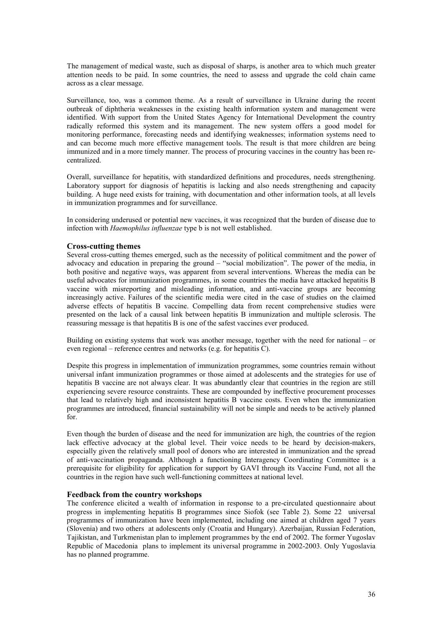The management of medical waste, such as disposal of sharps, is another area to which much greater attention needs to be paid. In some countries, the need to assess and upgrade the cold chain came across as a clear message.

Surveillance, too, was a common theme. As a result of surveillance in Ukraine during the recent outbreak of diphtheria weaknesses in the existing health information system and management were identified. With support from the United States Agency for International Development the country radically reformed this system and its management. The new system offers a good model for monitoring performance, forecasting needs and identifying weaknesses; information systems need to and can become much more effective management tools. The result is that more children are being immunized and in a more timely manner. The process of procuring vaccines in the country has been recentralized.

Overall, surveillance for hepatitis, with standardized definitions and procedures, needs strengthening. Laboratory support for diagnosis of hepatitis is lacking and also needs strengthening and capacity building. A huge need exists for training, with documentation and other information tools, at all levels in immunization programmes and for surveillance.

In considering underused or potential new vaccines, it was recognized that the burden of disease due to infection with *Haemophilus influenzae* type b is not well established.

## **Cross-cutting themes**

Several cross-cutting themes emerged, such as the necessity of political commitment and the power of advocacy and education in preparing the ground – "social mobilization". The power of the media, in both positive and negative ways, was apparent from several interventions. Whereas the media can be useful advocates for immunization programmes, in some countries the media have attacked hepatitis B vaccine with misreporting and misleading information, and anti-vaccine groups are becoming increasingly active. Failures of the scientific media were cited in the case of studies on the claimed adverse effects of hepatitis B vaccine. Compelling data from recent comprehensive studies were presented on the lack of a causal link between hepatitis B immunization and multiple sclerosis. The reassuring message is that hepatitis B is one of the safest vaccines ever produced.

Building on existing systems that work was another message, together with the need for national – or even regional – reference centres and networks (e.g. for hepatitis C).

Despite this progress in implementation of immunization programmes, some countries remain without universal infant immunization programmes or those aimed at adolescents and the strategies for use of hepatitis B vaccine are not always clear. It was abundantly clear that countries in the region are still experiencing severe resource constraints. These are compounded by ineffective procurement processes that lead to relatively high and inconsistent hepatitis B vaccine costs. Even when the immunization programmes are introduced, financial sustainability will not be simple and needs to be actively planned for.

Even though the burden of disease and the need for immunization are high, the countries of the region lack effective advocacy at the global level. Their voice needs to be heard by decision-makers, especially given the relatively small pool of donors who are interested in immunization and the spread of anti-vaccination propaganda. Although a functioning Interagency Coordinating Committee is a prerequisite for eligibility for application for support by GAVI through its Vaccine Fund, not all the countries in the region have such well-functioning committees at national level.

### **Feedback from the country workshops**

The conference elicited a wealth of information in response to a pre-circulated questionnaire about progress in implementing hepatitis B programmes since Siofok (see Table 2). Some 22 universal programmes of immunization have been implemented, including one aimed at children aged 7 years (Slovenia) and two others at adolescents only (Croatia and Hungary). Azerbaijan, Russian Federation, Tajikistan, and Turkmenistan plan to implement programmes by the end of 2002. The former Yugoslav Republic of Macedonia plans to implement its universal programme in 2002-2003. Only Yugoslavia has no planned programme.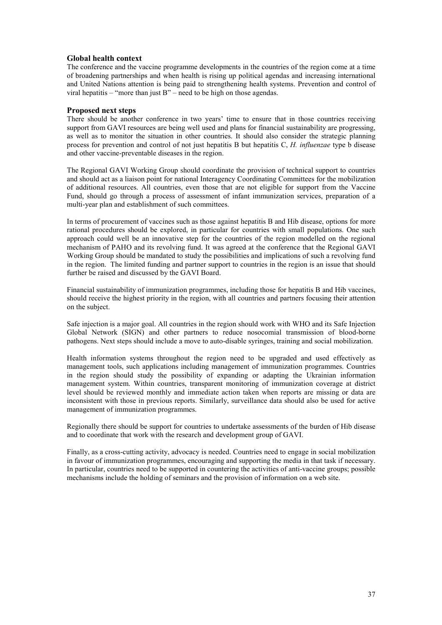## **Global health context**

The conference and the vaccine programme developments in the countries of the region come at a time of broadening partnerships and when health is rising up political agendas and increasing international and United Nations attention is being paid to strengthening health systems. Prevention and control of viral hepatitis – "more than just  $B$ " – need to be high on those agendas.

## **Proposed next steps**

There should be another conference in two years' time to ensure that in those countries receiving support from GAVI resources are being well used and plans for financial sustainability are progressing, as well as to monitor the situation in other countries. It should also consider the strategic planning process for prevention and control of not just hepatitis B but hepatitis C, *H. influenzae* type b disease and other vaccine-preventable diseases in the region.

The Regional GAVI Working Group should coordinate the provision of technical support to countries and should act as a liaison point for national Interagency Coordinating Committees for the mobilization of additional resources. All countries, even those that are not eligible for support from the Vaccine Fund, should go through a process of assessment of infant immunization services, preparation of a multi-year plan and establishment of such committees.

In terms of procurement of vaccines such as those against hepatitis B and Hib disease, options for more rational procedures should be explored, in particular for countries with small populations. One such approach could well be an innovative step for the countries of the region modelled on the regional mechanism of PAHO and its revolving fund. It was agreed at the conference that the Regional GAVI Working Group should be mandated to study the possibilities and implications of such a revolving fund in the region. The limited funding and partner support to countries in the region is an issue that should further be raised and discussed by the GAVI Board.

Financial sustainability of immunization programmes, including those for hepatitis B and Hib vaccines, should receive the highest priority in the region, with all countries and partners focusing their attention on the subject.

Safe injection is a major goal. All countries in the region should work with WHO and its Safe Injection Global Network (SIGN) and other partners to reduce nosocomial transmission of blood-borne pathogens. Next steps should include a move to auto-disable syringes, training and social mobilization.

Health information systems throughout the region need to be upgraded and used effectively as management tools, such applications including management of immunization programmes. Countries in the region should study the possibility of expanding or adapting the Ukrainian information management system. Within countries, transparent monitoring of immunization coverage at district level should be reviewed monthly and immediate action taken when reports are missing or data are inconsistent with those in previous reports. Similarly, surveillance data should also be used for active management of immunization programmes.

Regionally there should be support for countries to undertake assessments of the burden of Hib disease and to coordinate that work with the research and development group of GAVI.

Finally, as a cross-cutting activity, advocacy is needed. Countries need to engage in social mobilization in favour of immunization programmes, encouraging and supporting the media in that task if necessary. In particular, countries need to be supported in countering the activities of anti-vaccine groups; possible mechanisms include the holding of seminars and the provision of information on a web site.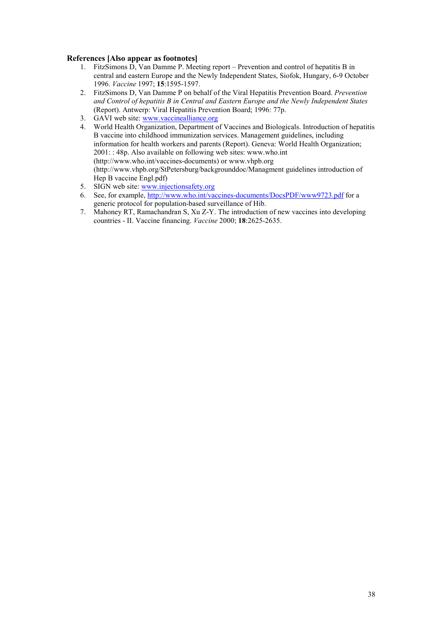## **References [Also appear as footnotes]**

- 1. FitzSimons D, Van Damme P. Meeting report Prevention and control of hepatitis B in central and eastern Europe and the Newly Independent States, Siofok, Hungary, 6-9 October 1996. *Vaccine* 1997; **15**:1595-1597.
- 2. FitzSimons D, Van Damme P on behalf of the Viral Hepatitis Prevention Board. *Prevention and Control of hepatitis B in Central and Eastern Europe and the Newly Independent States* (Report). Antwerp: Viral Hepatitis Prevention Board; 1996: 77p.
- 3. GAVI web site: www.vaccinealliance.org
- 4. World Health Organization, Department of Vaccines and Biologicals. Introduction of hepatitis B vaccine into childhood immunization services. Management guidelines, including information for health workers and parents (Report). Geneva: World Health Organization; 2001: : 48p. Also available on following web sites: www.who.int (http://www.who.int/vaccines-documents) or www.vhpb.org (http://www.vhpb.org/StPetersburg/backgrounddoc/Managment guidelines introduction of Hep B vaccine Engl.pdf)
- 5. SIGN web site: www.injectionsafety.org
- 6. See, for example, http://www.who.int/vaccines-documents/DocsPDF/www9723.pdf for a generic protocol for population-based surveillance of Hib.
- 7. Mahoney RT, Ramachandran S, Xu Z-Y. The introduction of new vaccines into developing countries - II. Vaccine financing. *Vaccine* 2000; **18**:2625-2635.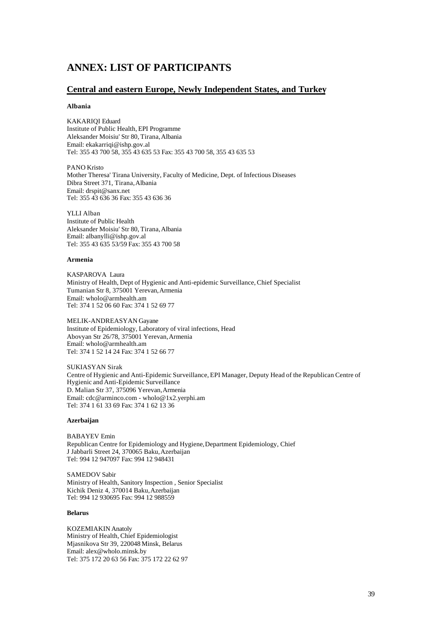# **ANNEX: LIST OF PARTICIPANTS**

## **Central and eastern Europe, Newly Independent States, and Turkey**

### **Albania**

KAKARIQI Eduard Institute of Public Health, EPI Programme Aleksander Moisiu' Str 80, Tirana,Albania Email: ekakarriqi@ishp.gov.al Tel: 355 43 700 58, 355 43 635 53 Fax: 355 43 700 58, 355 43 635 53

PANO Kristo Mother Theresa' Tirana University, Faculty of Medicine, Dept. of Infectious Diseases Dibra Street 371, Tirana,Albania Email: drspit@sanx.net Tel: 355 43 636 36 Fax: 355 43 636 36

YLLI Alban Institute of Public Health Aleksander Moisiu' Str 80, Tirana,Albania Email: albanylli@ishp.gov.al Tel: 355 43 635 53/59 Fax: 355 43 700 58

#### **Armenia**

KASPAROVA Laura Ministry of Health, Dept of Hygienic and Anti-epidemic Surveillance, Chief Specialist Tumanian Str 8, 375001 Yerevan,Armenia Email: wholo@armhealth.am Tel: 374 1 52 06 60 Fax: 374 1 52 69 77

MELIK-ANDREASYAN Gayane Institute of Epidemiology, Laboratory of viral infections, Head Abovyan Str 26/78, 375001 Yerevan,Armenia Email: wholo@armhealth.am Tel: 374 1 52 14 24 Fax: 374 1 52 66 77

SUKIASYAN Sirak Centre of Hygienic and Anti-Epidemic Surveillance, EPI Manager, Deputy Head of the Republican Centre of Hygienic and Anti-Epidemic Surveillance D. Malian Str 37, 375096 Yerevan,Armenia Email: cdc@arminco.com - wholo@1x2.yerphi.am Tel: 374 1 61 33 69 Fax: 374 1 62 13 36

### **Azerbaijan**

BABAYEV Emin Republican Centre for Epidemiology and Hygiene,Department Epidemiology, Chief J Jabbarli Street 24, 370065 Baku,Azerbaijan Tel: 994 12 947097 Fax: 994 12 948431

SAMEDOV Sabir Ministry of Health, Sanitory Inspection , Senior Specialist Kichik Deniz 4, 370014 Baku,Azerbaijan Tel: 994 12 930695 Fax: 994 12 988559

#### **Belarus**

KOZEMIAKIN Anatoly Ministry of Health, Chief Epidemiologist Mjasnikova Str 39, 220048 Minsk, Belarus Email: alex@wholo.minsk.by Tel: 375 172 20 63 56 Fax: 375 172 22 62 97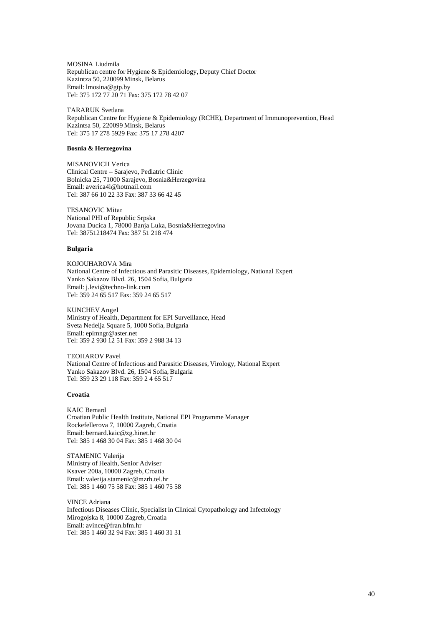MOSINA Liudmila Republican centre for Hygiene & Epidemiology, Deputy Chief Doctor Kazintza 50, 220099 Minsk, Belarus Email: lmosina@gtp.by Tel: 375 172 77 20 71 Fax: 375 172 78 42 07

TARARUK Svetlana Republican Centre for Hygiene & Epidemiology (RCHE), Department of Immunoprevention, Head Kazintsa 50, 220099 Minsk, Belarus Tel: 375 17 278 5929 Fax: 375 17 278 4207

#### **Bosnia & Herzegovina**

MISANOVICH Verica Clinical Centre – Sarajevo, Pediatric Clinic Bolnicka 25, 71000 Sarajevo, Bosnia&Herzegovina Email: averica4l@hotmail.com Tel: 387 66 10 22 33 Fax: 387 33 66 42 45

TESANOVIC Mitar National PHI of Republic Srpska Jovana Ducica 1, 78000 Banja Luka, Bosnia&Herzegovina Tel: 38751218474 Fax: 387 51 218 474

### **Bulgaria**

KOJOUHAROVA Mira National Centre of Infectious and Parasitic Diseases, Epidemiology, National Expert Yanko Sakazov Blvd. 26, 1504 Sofia, Bulgaria Email: j.levi@techno-link.com Tel: 359 24 65 517 Fax: 359 24 65 517

KUNCHEV Angel Ministry of Health, Department for EPI Surveillance, Head Sveta Nedelja Square 5, 1000 Sofia, Bulgaria Email: epimngr@aster.net Tel: 359 2 930 12 51 Fax: 359 2 988 34 13

TEOHAROV Pavel National Centre of Infectious and Parasitic Diseases, Virology, National Expert Yanko Sakazov Blvd. 26, 1504 Sofia, Bulgaria Tel: 359 23 29 118 Fax: 359 2 4 65 517

### **Croatia**

KAIC Bernard Croatian Public Health Institute, National EPI Programme Manager Rockefellerova 7, 10000 Zagreb, Croatia Email: bernard.kaic@zg.hinet.hr Tel: 385 1 468 30 04 Fax: 385 1 468 30 04

STAMENIC Valerija Ministry of Health, Senior Adviser Ksaver 200a, 10000 Zagreb, Croatia Email: valerija.stamenic@mzrh.tel.hr Tel: 385 1 460 75 58 Fax: 385 1 460 75 58

VINCE Adriana Infectious Diseases Clinic, Specialist in Clinical Cytopathology and Infectology Mirogojska 8, 10000 Zagreb, Croatia Email: avince@fran.bfm.hr Tel: 385 1 460 32 94 Fax: 385 1 460 31 31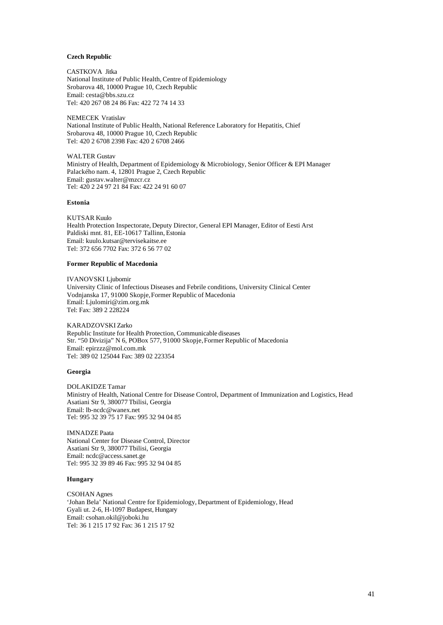#### **Czech Republic**

CASTKOVA Jitka National Institute of Public Health, Centre of Epidemiology Srobarova 48, 10000 Prague 10, Czech Republic Email: cesta@bbs.szu.cz Tel: 420 267 08 24 86 Fax: 422 72 74 14 33

NEMECEK Vratislav National Institute of Public Health, National Reference Laboratory for Hepatitis, Chief Srobarova 48, 10000 Prague 10, Czech Republic Tel: 420 2 6708 2398 Fax: 420 2 6708 2466

WALTER Gustav Ministry of Health, Department of Epidemiology & Microbiology, Senior Officer & EPI Manager Palackého nam. 4, 12801 Prague 2, Czech Republic Email: gustav.walter@mzcr.cz Tel: 420 2 24 97 21 84 Fax: 422 24 91 60 07

#### **Estonia**

KUTSAR Kuulo Health Protection Inspectorate, Deputy Director, General EPI Manager, Editor of Eesti Arst Paldiski mnt. 81, EE-10617 Tallinn, Estonia Email: kuulo.kutsar@tervisekaitse.ee Tel: 372 656 7702 Fax: 372 6 56 77 02

#### **Former Republic of Macedonia**

IVANOVSKI Ljubomir University Clinic of Infectious Diseases and Febrile conditions, University Clinical Center Vodnjanska 17, 91000 Skopje,Former Republic of Macedonia Email: Ljulomiri@zim.org.mk Tel: Fax: 389 2 228224

### KARADZOVSKI Zarko

Republic Institute for Health Protection, Communicable diseases Str. "50 Divizija" N 6, POBox 577, 91000 Skopje,Former Republic of Macedonia Email: epirzzz@mol.com.mk Tel: 389 02 125044 Fax: 389 02 223354

### **Georgia**

DOLAKIDZE Tamar Ministry of Health, National Centre for Disease Control, Department of Immunization and Logistics, Head Asatiani Str 9, 380077 Tbilisi, Georgia Email: lb-ncdc@wanex.net Tel: 995 32 39 75 17 Fax: 995 32 94 04 85

IMNADZE Paata National Center for Disease Control, Director Asatiani Str 9, 380077 Tbilisi, Georgia Email: ncdc@access.sanet.ge Tel: 995 32 39 89 46 Fax: 995 32 94 04 85

### **Hungary**

CSOHAN Agnes 'Johan Bela' National Centre for Epidemiology, Department of Epidemiology, Head Gyali ut. 2-6, H-1097 Budapest, Hungary Email: csohan.okil@joboki.hu Tel: 36 1 215 17 92 Fax: 36 1 215 17 92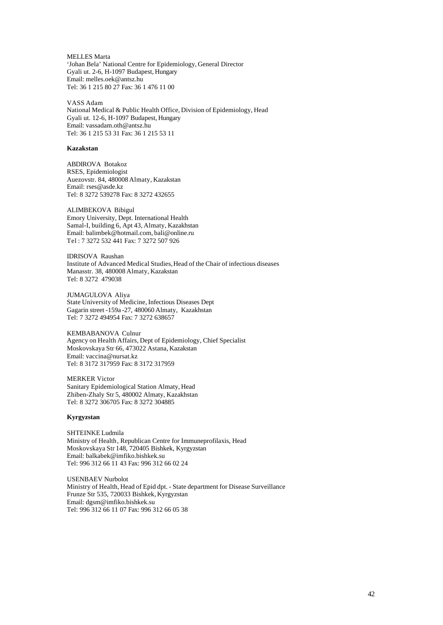MELLES Marta 'Johan Bela' National Centre for Epidemiology, General Director Gyali ut. 2-6, H-1097 Budapest, Hungary Email: melles.oek@antsz.hu Tel: 36 1 215 80 27 Fax: 36 1 476 11 00

VASS Adam

National Medical & Public Health Office, Division of Epidemiology, Head Gyali ut. 12-6, H-1097 Budapest, Hungary Email: vassadam.oth@antsz.hu Tel: 36 1 215 53 31 Fax: 36 1 215 53 11

### **Kazakstan**

ABDIROVA Botakoz RSES, Epidemiologist Auezovstr. 84, 480008 Almaty, Kazakstan Email: rses@asde.kz Tel: 8 3272 539278 Fax: 8 3272 432655

ALIMBEKOVA Bibigul Emory University, Dept. International Health Samal-I, building 6, Apt 43, Almaty, Kazakhstan Email: balimbek@hotmail.com, bali@online.ru Tel : 7 3272 532 441 Fax: 7 3272 507 926

IDRISOVA Raushan Institute of Advanced Medical Studies,Head of the Chair of infectious diseases Manasstr. 38, 480008 Almaty, Kazakstan Tel: 8 3272 479038

JUMAGULOVA Aliya State University of Medicine, Infectious Diseases Dept Gagarin street -159a -27, 480060 Almaty, Kazakhstan Tel: 7 3272 494954 Fax: 7 3272 638657

KEMBABANOVA Culnur Agency on Health Affairs, Dept of Epidemiology, Chief Specialist Moskovskaya Str 66, 473022 Astana, Kazakstan Email: vaccina@nursat.kz Tel: 8 3172 317959 Fax: 8 3172 317959

MERKER Victor Sanitary Epidemiological Station Almaty, Head Zhiben-Zhaly Str 5, 480002 Almaty, Kazakhstan Tel: 8 3272 306705 Fax: 8 3272 304885

### **Kyrgyzstan**

SHTEINKE Ludmila Ministry of Health, Republican Centre for Immuneprofilaxis, Head Moskovskaya Str 148, 720405 Bishkek, Kyrgyzstan Email: balkabek@imfiko.bishkek.su Tel: 996 312 66 11 43 Fax: 996 312 66 02 24

USENBAEV Nurbolot Ministry of Health, Head of Epid dpt. - State department for Disease Surveillance Frunze Str 535, 720033 Bishkek, Kyrgyzstan Email: dgsm@imfiko.bishkek.su Tel: 996 312 66 11 07 Fax: 996 312 66 05 38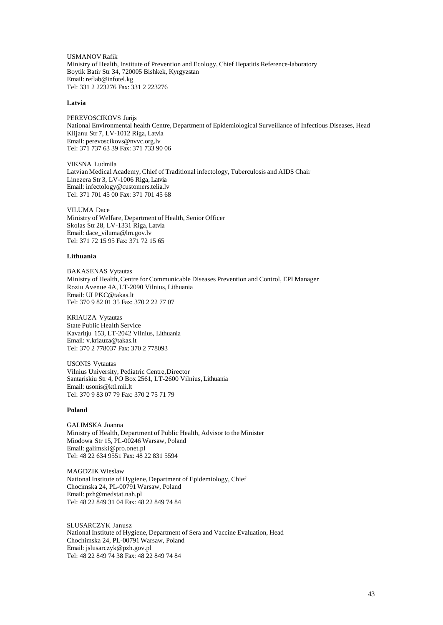USMANOV Rafik Ministry of Health, Institute of Prevention and Ecology, Chief Hepatitis Reference-laboratory Boytik Batir Str 34, 720005 Bishkek, Kyrgyzstan Email: reflab@infotel.kg Tel: 331 2 223276 Fax: 331 2 223276

#### **Latvia**

PEREVOSCIKOVS Jurijs National Environmental health Centre, Department of Epidemiological Surveillance of Infectious Diseases, Head Klijanu Str 7, LV-1012 Riga, Latvia Email: perevoscikovs@nvvc.org.lv Tel: 371 737 63 39 Fax: 371 733 90 06

VIKSNA Ludmila Latvian Medical Academy, Chief of Traditional infectology, Tuberculosis and AIDS Chair Linezera Str 3, LV-1006 Riga, Latvia Email: infectology@customers.telia.lv Tel: 371 701 45 00 Fax: 371 701 45 68

VILUMA Dace Ministry of Welfare, Department of Health, Senior Officer Skolas Str 28, LV-1331 Riga, Latvia Email: dace\_viluma@lm.gov.lv Tel: 371 72 15 95 Fax: 371 72 15 65

### **Lithuania**

BAKASENAS Vytautas Ministry of Health, Centre for Communicable Diseases Prevention and Control, EPI Manager Roziu Avenue 4A, LT-2090 Vilnius, Lithuania Email: ULPKC@takas.lt Tel: 370 9 82 01 35 Fax: 370 2 22 77 07

KRIAUZA Vytautas State Public Health Service Kavaritju 153, LT-2042 Vilnius, Lithuania Email: v.kriauza@takas.lt Tel: 370 2 778037 Fax: 370 2 778093

USONIS Vytautas Vilnius University, Pediatric Centre,Director Santariskiu Str 4, PO Box 2561, LT-2600 Vilnius, Lithuania Email: usonis@ktl.mii.lt Tel: 370 9 83 07 79 Fax: 370 2 75 71 79

#### **Poland**

GALIMSKA Joanna Ministry of Health, Department of Public Health, Advisor to the Minister Miodowa Str 15, PL-00246 Warsaw, Poland Email: galimski@pro.onet.pl Tel: 48 22 634 9551 Fax: 48 22 831 5594

MAGDZIK Wieslaw National Institute of Hygiene, Department of Epidemiology, Chief Chocimska 24, PL-00791 Warsaw, Poland Email: pzh@medstat.nah.pl Tel: 48 22 849 31 04 Fax: 48 22 849 74 84

SLUSARCZYK Janusz National Institute of Hygiene, Department of Sera and Vaccine Evaluation, Head Chochimska 24, PL-00791 Warsaw, Poland Email: jslusarczyk@pzh.gov.pl Tel: 48 22 849 74 38 Fax: 48 22 849 74 84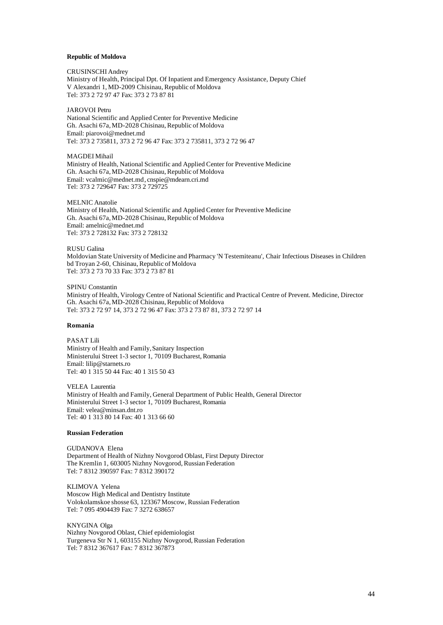#### **Republic of Moldova**

CRUSINSCHI Andrey Ministry of Health, Principal Dpt. Of Inpatient and Emergency Assistance, Deputy Chief V Alexandri 1, MD-2009 Chisinau, Republic of Moldova Tel: 373 2 72 97 47 Fax: 373 2 73 87 81

#### JAROVOI Petru

National Scientific and Applied Center for Preventive Medicine Gh. Asachi 67a, MD-2028 Chisinau, Republic of Moldova Email: piarovoi@mednet.md Tel: 373 2 735811, 373 2 72 96 47 Fax: 373 2 735811, 373 2 72 96 47

MAGDEI Mihail

Ministry of Health, National Scientific and Applied Center for Preventive Medicine Gh. Asachi 67a, MD-2028 Chisinau, Republic of Moldova Email: vcalmic@mednet.md, cnspie@mdearn.cri.md Tel: 373 2 729647 Fax: 373 2 729725

#### MELNIC Anatolie

Ministry of Health, National Scientific and Applied Center for Preventive Medicine Gh. Asachi 67a, MD-2028 Chisinau, Republic of Moldova Email: amelnic@mednet.md Tel: 373 2 728132 Fax: 373 2 728132

RUSU Galina Moldovian State University of Medicine and Pharmacy 'N Testemiteanu', Chair Infectious Diseases in Children bd Troyan 2-60, Chisinau, Republic of Moldova Tel: 373 2 73 70 33 Fax: 373 2 73 87 81

SPINU Constantin Ministry of Health, Virology Centre of National Scientific and Practical Centre of Prevent. Medicine, Director Gh. Asachi 67a, MD-2028 Chisinau, Republic of Moldova Tel: 373 2 72 97 14, 373 2 72 96 47 Fax: 373 2 73 87 81, 373 2 72 97 14

### **Romania**

PASAT Lili Ministry of Health and Family,Sanitary Inspection Ministerului Street 1-3 sector 1, 70109 Bucharest, Romania Email: lilip@starnets.ro Tel: 40 1 315 50 44 Fax: 40 1 315 50 43

VELEA Laurentia Ministry of Health and Family, General Department of Public Health, General Director Ministerului Street 1-3 sector 1, 70109 Bucharest, Romania Email: velea@minsan.dnt.ro Tel: 40 1 313 80 14 Fax: 40 1 313 66 60

### **Russian Federation**

GUDANOVA Elena Department of Health of Nizhny Novgorod Oblast, First Deputy Director The Kremlin 1, 603005 Nizhny Novgorod, Russian Federation Tel: 7 8312 390597 Fax: 7 8312 390172

KLIMOVA Yelena Moscow High Medical and Dentistry Institute Volokolamskoe shosse 63, 123367 Moscow, Russian Federation Tel: 7 095 4904439 Fax: 7 3272 638657

KNYGINA Olga Nizhny Novgorod Oblast, Chief epidemiologist Turgeneva Str N 1, 603155 Nizhny Novgorod, Russian Federation Tel: 7 8312 367617 Fax: 7 8312 367873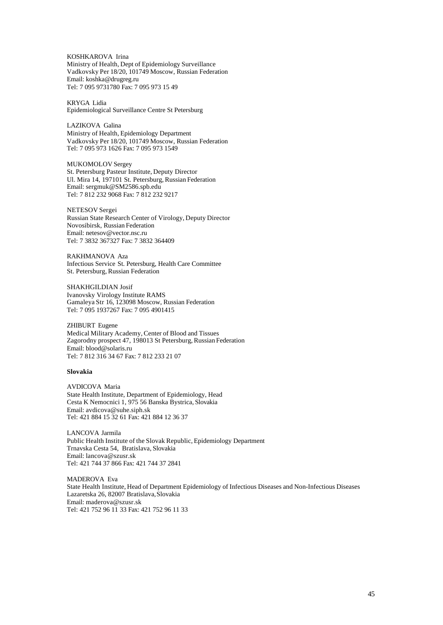KOSHKAROVA Irina Ministry of Health, Dept of Epidemiology Surveillance Vadkovsky Per 18/20, 101749 Moscow, Russian Federation Email: koshka@drugreg.ru Tel: 7 095 9731780 Fax: 7 095 973 15 49

KRYGA Lidia Epidemiological Surveillance Centre St Petersburg

LAZIKOVA Galina Ministry of Health, Epidemiology Department Vadkovsky Per 18/20, 101749 Moscow, Russian Federation Tel: 7 095 973 1626 Fax: 7 095 973 1549

MUKOMOLOV Sergey St. Petersburg Pasteur Institute, Deputy Director Ul. Mira 14, 197101 St. Petersburg, Russian Federation Email: sergmuk@SM2586.spb.edu Tel: 7 812 232 9068 Fax: 7 812 232 9217

NETESOV Sergei Russian State Research Center of Virology, Deputy Director Novosibirsk, Russian Federation Email: netesov@vector.nsc.ru Tel: 7 3832 367327 Fax: 7 3832 364409

RAKHMANOVA Aza Infectious Service St. Petersburg, Health Care Committee St. Petersburg, Russian Federation

SHAKHGILDIAN Josif Ivanovsky Virology Institute RAMS Gamaleya Str 16, 123098 Moscow, Russian Federation Tel: 7 095 1937267 Fax: 7 095 4901415

ZHIBURT Eugene Medical Military Academy, Center of Blood and Tissues Zagorodny prospect 47, 198013 St Petersburg, Russian Federation Email: blood@solaris.ru Tel: 7 812 316 34 67 Fax: 7 812 233 21 07

### **Slovakia**

AVDICOVA Maria State Health Institute, Department of Epidemiology, Head Cesta K Nemocnici 1, 975 56 Banska Bystrica, Slovakia Email: avdicova@suhe.siph.sk Tel: 421 884 15 32 61 Fax: 421 884 12 36 37

LANCOVA Jarmila Public Health Institute of the Slovak Republic, Epidemiology Department Trnavska Cesta 54, Bratislava, Slovakia Email: lancova@szusr.sk Tel: 421 744 37 866 Fax: 421 744 37 2841

MADEROVA Eva State Health Institute, Head of Department Epidemiology of Infectious Diseases and Non-Infectious Diseases Lazaretska 26, 82007 Bratislava, Slovakia Email: maderova@szusr.sk Tel: 421 752 96 11 33 Fax: 421 752 96 11 33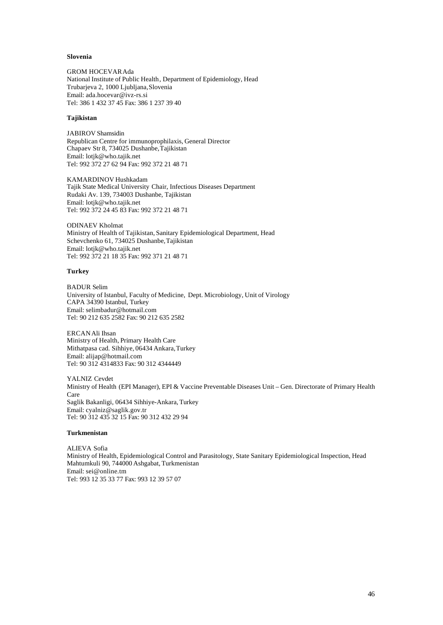### **Slovenia**

GROM HOCEVARAda National Institute of Public Health, Department of Epidemiology, Head Trubarjeva 2, 1000 Ljubljana,Slovenia Email: ada.hocevar@ivz-rs.si Tel: 386 1 432 37 45 Fax: 386 1 237 39 40

#### **Tajikistan**

JABIROV Shamsidin Republican Centre for immunoprophilaxis, General Director Chapaev Str 8, 734025 Dushanbe,Tajikistan Email: lotjk@who.tajik.net Tel: 992 372 27 62 94 Fax: 992 372 21 48 71

KAMARDINOV Hushkadam Tajik State Medical University Chair, Infectious Diseases Department Rudaki Av. 139, 734003 Dushanbe, Tajikistan Email: lotjk@who.tajik.net Tel: 992 372 24 45 83 Fax: 992 372 21 48 71

ODINAEV Kholmat Ministry of Health of Tajikistan, Sanitary Epidemiological Department, Head Schevchenko 61, 734025 Dushanbe,Tajikistan Email: lotjk@who.tajik.net Tel: 992 372 21 18 35 Fax: 992 371 21 48 71

### **Turkey**

BADUR Selim University of Istanbul, Faculty of Medicine, Dept. Microbiology, Unit of Virology CAPA 34390 Istanbul, Turkey Email: selimbadur@hotmail.com Tel: 90 212 635 2582 Fax: 90 212 635 2582

ERCANAli Ihsan Ministry of Health, Primary Health Care Mithatpasa cad. Sihhiye, 06434 Ankara,Turkey Email: alijap@hotmail.com Tel: 90 312 4314833 Fax: 90 312 4344449

YALNIZ Cevdet Ministry of Health (EPI Manager), EPI & Vaccine Preventable Diseases Unit – Gen. Directorate of Primary Health Care Saglik Bakanligi, 06434 Sihhiye-Ankara, Turkey Email: cyalniz@saglik.gov.tr Tel: 90 312 435 32 15 Fax: 90 312 432 29 94

#### **Turkmenistan**

ALIEVA Sofia Ministry of Health, Epidemiological Control and Parasitology, State Sanitary Epidemiological Inspection, Head Mahtumkuli 90, 744000 Ashgabat, Turkmenistan Email: sei@online.tm Tel: 993 12 35 33 77 Fax: 993 12 39 57 07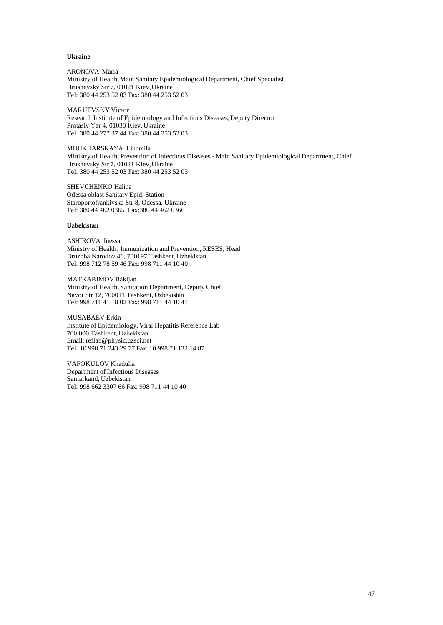### **Ukraine**

ARONOVA Maria Ministry of Health,Main Sanitary Epidemiological Department, Chief Specialist Hrushevsky Str 7, 01021 Kiev,Ukraine Tel: 380 44 253 52 03 Fax: 380 44 253 52 03

MARIJEVSKY Victor Research Institute of Epidemiology and Infectious Diseases, Deputy Director Protasiv Yar 4, 01038 Kiev, Ukraine Tel: 380 44 277 37 44 Fax: 380 44 253 52 03

MOUKHARSKAYA Liudmila Ministry of Health, Prevention of Infectious Diseases - Main Sanitary Epidemiological Department, Chief Hrushevsky Str 7, 01021 Kiev,Ukraine Tel: 380 44 253 52 03 Fax: 380 44 253 52 03

SHEVCHENKO Halina Odessa oblast Sanitary Epid. Station Staroportofrankivska Str 8, Odessa, Ukraine Tel: 380 44 462 0365 Fax:380 44 462 0366

### **Uzbekistan**

ASHIROVA Inessa Ministry of Health, Immunization and Prevention, RESES, Head Druzhba Narodov 46, 700197 Tashkent, Uzbekistan Tel: 998 712 78 59 46 Fax: 998 711 44 10 40

MATKARIMOV Bàkijan Ministry of Health, Sanitation Department, Deputy Chief Navoi Str 12, 700011 Tashkent, Uzbekistan Tel: 998 711 41 18 02 Fax: 998 711 44 10 41

MUSABAEV Erkin Institute of Epidemiology, Viral Hepatitis Reference Lab 700 000 Tashkent, Uzbekistan Email: reflab@physic.uzsci.net Tel: 10 998 71 243 29 77 Fax: 10 998 71 132 14 87

VAFOKULOV Khadulla Department of Infectious Diseases Samarkand, Uzbekistan Tel: 998 662 3307 66 Fax: 998 711 44 10 40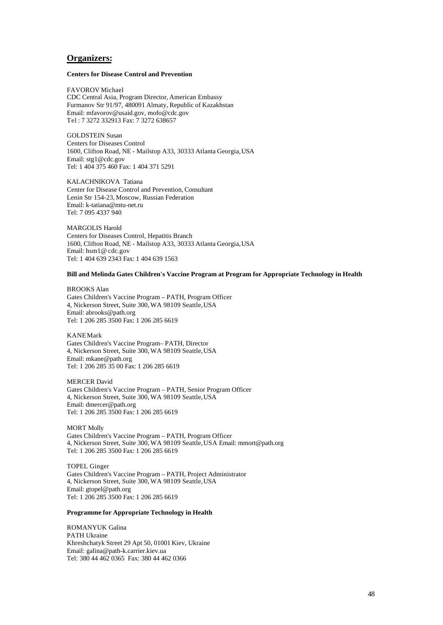## **Organizers:**

#### **Centers for Disease Control and Prevention**

FAVOROV Michael

CDC Central Asia, Program Director, American Embassy Furmanov Str 91/97, 480091 Almaty, Republic of Kazakhstan Email: mfavorov@usaid.gov, mofo@cdc.gov Tel : 7 3272 332913 Fax: 7 3272 638657

GOLDSTEIN Susan Centers for Diseases Control 1600, Clifton Road, NE - Mailstop A33, 30333 Atlanta Georgia,USA Email: stg1@cdc.gov Tel: 1 404 375 460 Fax: 1 404 371 5291

KALACHNIKOVA Tatiana Center for Disease Control and Prevention, Consultant Lenin Str 154-23, Moscow, Russian Federation Email: k-tatiana@mtu-net.ru Tel: 7 095 4337 940

MARGOLIS Harold Centers for Diseases Control, Hepatitis Branch 1600, Clifton Road, NE - Mailstop A33, 30333 Atlanta Georgia,USA Email: hsm1@ cdc.gov Tel: 1 404 639 2343 Fax: 1 404 639 1563

### **Bill and Melinda Gates Children's Vaccine Program at Program for Appropriate Technology in Health**

BROOKS Alan Gates Children's Vaccine Program – PATH, Program Officer 4, Nickerson Street, Suite 300, WA 98109 Seattle,USA Email: abrooks@path.org Tel: 1 206 285 3500 Fax: 1 206 285 6619

KANEMark Gates Children's Vaccine Program– PATH, Director 4, Nickerson Street, Suite 300, WA 98109 Seattle,USA Email: mkane@path.org Tel: 1 206 285 35 00 Fax: 1 206 285 6619

MERCER David Gates Children's Vaccine Program – PATH, Senior Program Officer 4, Nickerson Street, Suite 300, WA 98109 Seattle,USA Email: dmercer@path.org Tel: 1 206 285 3500 Fax: 1 206 285 6619

MORT Molly Gates Children's Vaccine Program – PATH, Program Officer 4, Nickerson Street, Suite 300, WA 98109 Seattle,USA Email: mmort@path.org Tel: 1 206 285 3500 Fax: 1 206 285 6619

TOPEL Ginger Gates Children's Vaccine Program – PATH, Project Administrator 4, Nickerson Street, Suite 300, WA 98109 Seattle,USA Email: gtopel@path.org Tel: 1 206 285 3500 Fax: 1 206 285 6619

#### **Programme for Appropriate Technology in Health**

ROMANYUK Galina PATH Ukraine Khreshchatyk Street 29 Apt 50, 01001 Kiev, Ukraine Email: galina@path-k.carrier.kiev.ua Tel: 380 44 462 0365 Fax: 380 44 462 0366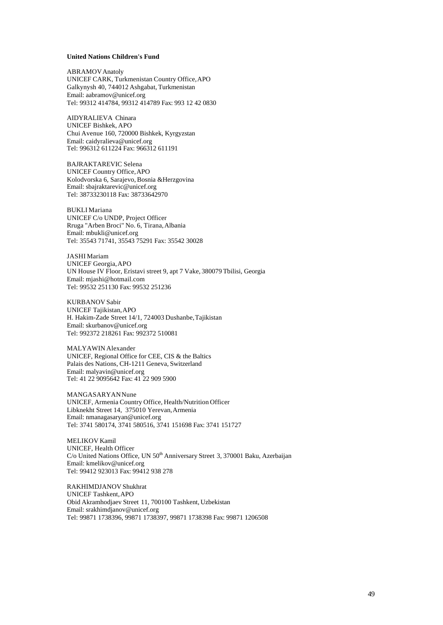### **United Nations Children's Fund**

ABRAMOVAnatoly UNICEF CARK, Turkmenistan Country Office,APO Galkynysh 40, 744012 Ashgabat, Turkmenistan Email: aabramov@unicef.org Tel: 99312 414784, 99312 414789 Fax: 993 12 42 0830

AIDYRALIEVA Chinara UNICEF Bishkek, APO Chui Avenue 160, 720000 Bishkek, Kyrgyzstan Email: caidyralieva@unicef.org Tel: 996312 611224 Fax: 966312 611191

BAJRAKTAREVIC Selena UNICEF Country Office,APO Kolodvorska 6, Sarajevo, Bosnia &Herzgovina Email: sbajraktarevic@unicef.org Tel: 38733230118 Fax: 38733642970

BUKLI Mariana UNICEF C/o UNDP, Project Officer Rruga "Arben Broci" No. 6, Tirana,Albania Email: mbukli@unicef.org Tel: 35543 71741, 35543 75291 Fax: 35542 30028

JASHI Mariam UNICEF Georgia,APO UN House IV Floor, Eristavi street 9, apt 7 Vake, 380079 Tbilisi, Georgia Email: mjashi@hotmail.com Tel: 99532 251130 Fax: 99532 251236

KURBANOV Sabir UNICEF Tajikistan,APO H. Hakim-Zade Street 14/1, 724003 Dushanbe,Tajikistan Email: skurbanov@unicef.org Tel: 992372 218261 Fax: 992372 510081

MALYAWIN Alexander UNICEF, Regional Office for CEE, CIS & the Baltics Palais des Nations, CH-1211 Geneva, Switzerland Email: malyavin@unicef.org Tel: 41 22 9095642 Fax: 41 22 909 5900

MANGASARYANNune UNICEF, Armenia Country Office, Health/Nutrition Officer Libknekht Street 14, 375010 Yerevan,Armenia Email: nmanagasaryan@unicef.org Tel: 3741 580174, 3741 580516, 3741 151698 Fax: 3741 151727

MELIKOV Kamil UNICEF, Health Officer C/o United Nations Office, UN 50<sup>th</sup> Anniversary Street 3, 370001 Baku, Azerbaijan Email: kmelikov@unicef.org Tel: 99412 923013 Fax: 99412 938 278

RAKHIMDJANOV Shukhrat UNICEF Tashkent,APO Obid Akramhodjaev Street 11, 700100 Tashkent, Uzbekistan Email: srakhimdjanov@unicef.org Tel: 99871 1738396, 99871 1738397, 99871 1738398 Fax: 99871 1206508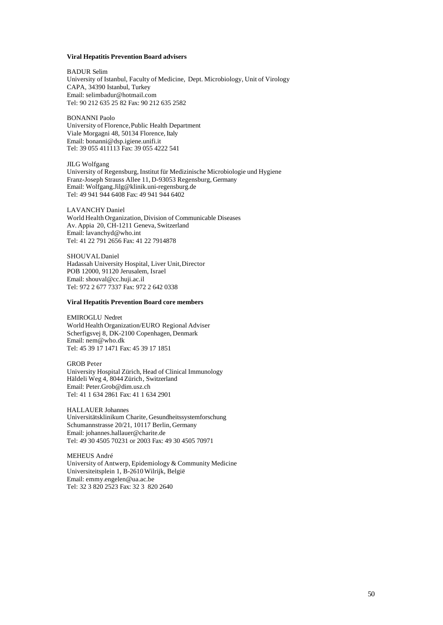#### **Viral Hepatitis Prevention Board advisers**

BADUR Selim University of Istanbul, Faculty of Medicine, Dept. Microbiology, Unit of Virology CAPA, 34390 Istanbul, Turkey Email: selimbadur@hotmail.com Tel: 90 212 635 25 82 Fax: 90 212 635 2582

BONANNI Paolo University of Florence,Public Health Department Viale Morgagni 48, 50134 Florence, Italy Email: bonanni@dsp.igiene.unifi.it Tel: 39 055 411113 Fax: 39 055 4222 541

JILG Wolfgang University of Regensburg, Institut für Medizinische Microbiologie und Hygiene Franz-Joseph Strauss Allee 11, D-93053 Regensburg, Germany Email: Wolfgang.Jilg@klinik.uni-regensburg.de Tel: 49 941 944 6408 Fax: 49 941 944 6402

LAVANCHY Daniel World Health Organization, Division of Communicable Diseases Av. Appia 20, CH-1211 Geneva, Switzerland Email: lavanchyd@who.int Tel: 41 22 791 2656 Fax: 41 22 7914878

SHOUVALDaniel Hadassah University Hospital, Liver Unit,Director POB 12000, 91120 Jerusalem, Israel Email: shouval@cc.huji.ac.il Tel: 972 2 677 7337 Fax: 972 2 642 0338

#### **Viral Hepatitis Prevention Board core members**

EMIROGLU Nedret World Health Organization/EURO Regional Adviser Scherfigsvej 8, DK-2100 Copenhagen, Denmark Email: nem@who.dk Tel: 45 39 17 1471 Fax: 45 39 17 1851

GROB Peter

University Hospital Zürich, Head of Clinical Immunology Häldeli Weg 4, 8044 Zürich, Switzerland Email: Peter.Grob@dim.usz.ch Tel: 41 1 634 2861 Fax: 41 1 634 2901

HALLAUER Johannes Universitätsklinikum Charite, Gesundheitssystemforschung Schumannstrasse 20/21, 10117 Berlin, Germany Email: johannes.hallauer@charite.de Tel: 49 30 4505 70231 or 2003 Fax: 49 30 4505 70971

MEHEUS André University of Antwerp, Epidemiology & Community Medicine Universiteitsplein 1, B-2610 Wilrijk, België Email: emmy.engelen@ua.ac.be Tel: 32 3 820 2523 Fax: 32 3 820 2640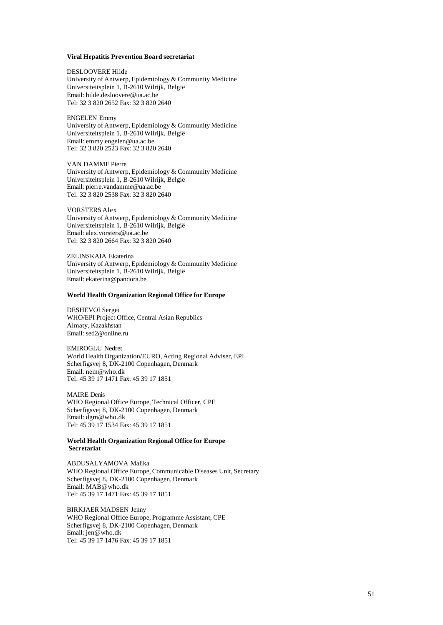#### **Viral Hepatitis Prevention Board secretariat**

DESLOOVERE Hilde University of Antwerp, Epidemiology & Community Medicine Universiteitsplein 1, B-2610 Wilrijk, België Email: hilde.desloovere@ua.ac.be Tel: 32 3 820 2652 Fax: 32 3 820 2640

ENGELEN Emmy University of Antwerp, Epidemiology & Community Medicine Universiteitsplein 1, B-2610 Wilrijk, België Email: emmy.engelen@ua.ac.be Tel: 32 3 820 2523 Fax: 32 3 820 2640

VAN DAMME Pierre University of Antwerp, Epidemiology & Community Medicine Universiteitsplein 1, B-2610 Wilrijk, België Email: pierre.vandamme@ua.ac.be Tel: 32 3 820 2538 Fax: 32 3 820 2640

VORSTERS Alex University of Antwerp, Epidemiology & Community Medicine Universiteitsplein 1, B-2610 Wilrijk, België Email: alex.vorsters@ua.ac.be Tel: 32 3 820 2664 Fax: 32 3 820 2640

ZELINSKAIA Ekaterina University of Antwerp, Epidemiology & Community Medicine Universiteitsplein 1, B-2610 Wilrijk, België Email: ekaterina@pandora.be

#### **World Health Organization Regional Office for Europe**

DESHEVOI Sergei WHO/EPI Project Office, Central Asian Republics Almaty, Kazakhstan Email: sed2@online.ru

EMIROGLU Nedret World Health Organization/EURO, Acting Regional Adviser, EPI Scherfigsvej 8, DK-2100 Copenhagen, Denmark Email: nem@who.dk Tel: 45 39 17 1471 Fax: 45 39 17 1851

MAIRE Denis WHO Regional Office Europe, Technical Officer, CPE Scherfigsvej 8, DK-2100 Copenhagen, Denmark Email: dgm@who.dk Tel: 45 39 17 1534 Fax: 45 39 17 1851

### **World Health Organization Regional Office for Europe Secretariat**

ABDUSALYAMOVA Malika WHO Regional Office Europe, Communicable Diseases Unit, Secretary Scherfigsvej 8, DK-2100 Copenhagen, Denmark Email: MAB@who.dk Tel: 45 39 17 1471 Fax: 45 39 17 1851

BIRKJAER MADSEN Jenny WHO Regional Office Europe, Programme Assistant, CPE Scherfigsvej 8, DK-2100 Copenhagen, Denmark Email: jen@who.dk Tel: 45 39 17 1476 Fax: 45 39 17 1851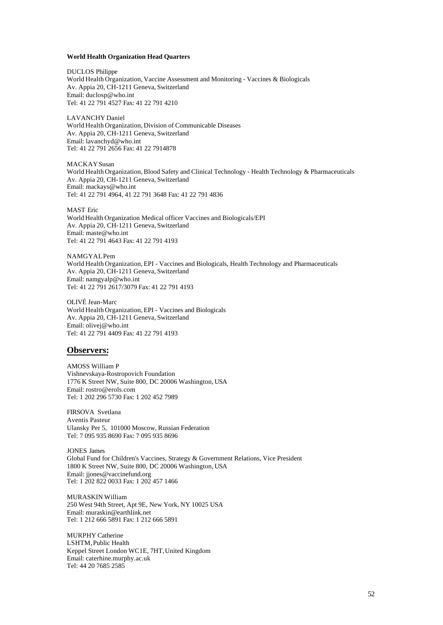#### **World Health Organization Head Quarters**

DUCLOS Philippe World Health Organization, Vaccine Assessment and Monitoring - Vaccines & Biologicals Av. Appia 20, CH-1211 Geneva, Switzerland Email: duclosp@who.int Tel: 41 22 791 4527 Fax: 41 22 791 4210

LAVANCHY Daniel World Health Organization, Division of Communicable Diseases Av. Appia 20, CH-1211 Geneva, Switzerland Email: lavanchyd@who.int Tel: 41 22 791 2656 Fax: 41 22 7914878

MACKAYSusan World Health Organization, Blood Safety and Clinical Technology - Health Technology & Pharmaceuticals Av. Appia 20, CH-1211 Geneva, Switzerland Email: mackays@who.int Tel: 41 22 791 4964, 41 22 791 3648 Fax: 41 22 791 4836

MAST Eric World Health Organization Medical officer Vaccines and Biologicals/EPI Av. Appia 20, CH-1211 Geneva, Switzerland Email: maste@who.int Tel: 41 22 791 4643 Fax: 41 22 791 4193

NAMGYALPem World Health Organization, EPI - Vaccines and Biologicals, Health Technology and Pharmaceuticals Av. Appia 20, CH-1211 Geneva, Switzerland Email: namgyalp@who.int Tel: 41 22 791 2617/3079 Fax: 41 22 791 4193

OLIVÉ Jean-Marc World Health Organization, EPI - Vaccines and Biologicals Av. Appia 20, CH-1211 Geneva, Switzerland Email: olivej@who.int Tel: 41 22 791 4409 Fax: 41 22 791 4193

### **Observers:**

AMOSS William P Vishnevskaya-Rostropovich Foundation 1776 K Street NW, Suite 800, DC 20006 Washington, USA Email: rostro@erols.com Tel: 1 202 296 5730 Fax: 1 202 452 7989

FIRSOVA Svetlana Aventis Pasteur Ulansky Per 5, 101000 Moscow, Russian Federation Tel: 7 095 935 8690 Fax: 7 095 935 8696

JONES James Global Fund for Children's Vaccines, Strategy & Government Relations, Vice President 1800 K Street NW, Suite 800, DC 20006 Washington, USA Email: jjones@vaccinefund.org Tel: 1 202 822 0033 Fax: 1 202 457 1466

MURASKIN William 250 West 94th Street, Apt 9E, New York, NY 10025 USA Email: muraskin@earthlink.net Tel: 1 212 666 5891 Fax: 1 212 666 5891

MURPHY Catherine LSHTM,Public Health Keppel Street London WC1E, 7HT,United Kingdom Email: caterhine.murphy.ac.uk Tel: 44 20 7685 2585